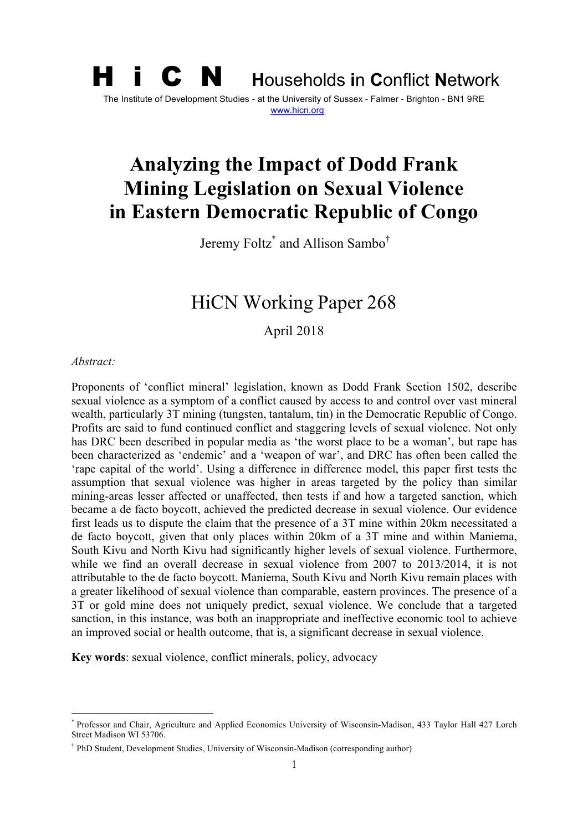## H i C N **<sup>H</sup>**ouseholds **i**n **C**onflict **<sup>N</sup>**etwork The Institute of Development Studies - at the University of Sussex - Falmer - Brighton - BN1 9RE www.hicn.org

# **Analyzing the Impact of Dodd Frank Mining Legislation on Sexual Violence in Eastern Democratic Republic of Congo**

Jeremy Foltz\* and Allison Sambo†

## HiCN Working Paper 268

April 2018

#### *Abstract:*

Proponents of 'conflict mineral' legislation, known as Dodd Frank Section 1502, describe sexual violence as a symptom of a conflict caused by access to and control over vast mineral wealth, particularly 3T mining (tungsten, tantalum, tin) in the Democratic Republic of Congo. Profits are said to fund continued conflict and staggering levels of sexual violence. Not only has DRC been described in popular media as 'the worst place to be a woman', but rape has been characterized as 'endemic' and a 'weapon of war', and DRC has often been called the 'rape capital of the world'. Using a difference in difference model, this paper first tests the assumption that sexual violence was higher in areas targeted by the policy than similar mining-areas lesser affected or unaffected, then tests if and how a targeted sanction, which became a de facto boycott, achieved the predicted decrease in sexual violence. Our evidence first leads us to dispute the claim that the presence of a 3T mine within 20km necessitated a de facto boycott, given that only places within 20km of a 3T mine and within Maniema, South Kivu and North Kivu had significantly higher levels of sexual violence. Furthermore, while we find an overall decrease in sexual violence from 2007 to 2013/2014, it is not attributable to the de facto boycott. Maniema, South Kivu and North Kivu remain places with a greater likelihood of sexual violence than comparable, eastern provinces. The presence of a 3T or gold mine does not uniquely predict, sexual violence. We conclude that a targeted sanction, in this instance, was both an inappropriate and ineffective economic tool to achieve an improved social or health outcome, that is, a significant decrease in sexual violence.

**Key words**: sexual violence, conflict minerals, policy, advocacy

\* Professor and Chair, Agriculture and Applied Economics University of Wisconsin-Madison, 433 Taylor Hall 427 Lorch Street Madison WI 53706.

<sup>†</sup> PhD Student, Development Studies, University of Wisconsin-Madison (corresponding author)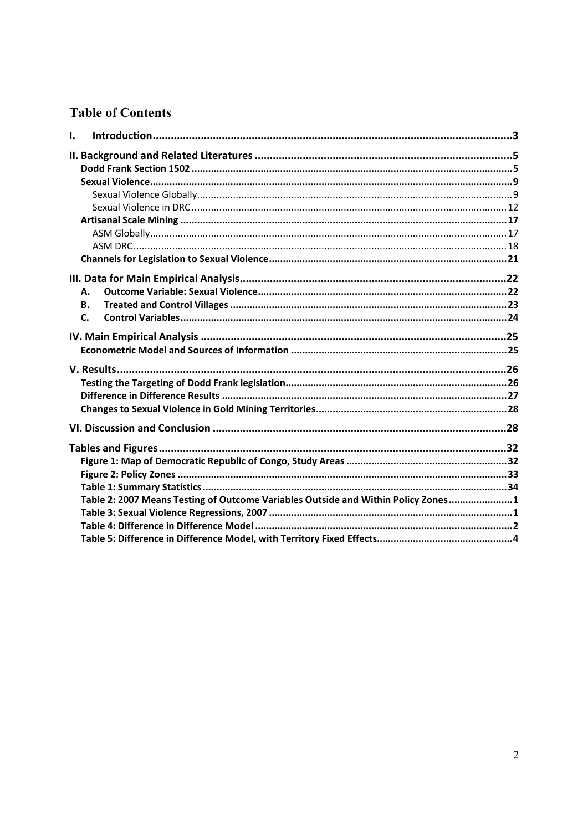#### **Table of Contents**

| I. |                                                                                   |  |
|----|-----------------------------------------------------------------------------------|--|
|    |                                                                                   |  |
|    |                                                                                   |  |
|    |                                                                                   |  |
|    |                                                                                   |  |
|    |                                                                                   |  |
|    |                                                                                   |  |
|    |                                                                                   |  |
|    |                                                                                   |  |
|    |                                                                                   |  |
|    |                                                                                   |  |
|    | А.                                                                                |  |
|    | В.                                                                                |  |
|    | $\mathsf{C}$ .                                                                    |  |
|    |                                                                                   |  |
|    |                                                                                   |  |
|    |                                                                                   |  |
|    |                                                                                   |  |
|    |                                                                                   |  |
|    |                                                                                   |  |
|    |                                                                                   |  |
|    |                                                                                   |  |
|    |                                                                                   |  |
|    |                                                                                   |  |
|    |                                                                                   |  |
|    |                                                                                   |  |
|    | Table 2: 2007 Means Testing of Outcome Variables Outside and Within Policy Zones1 |  |
|    |                                                                                   |  |
|    |                                                                                   |  |
|    |                                                                                   |  |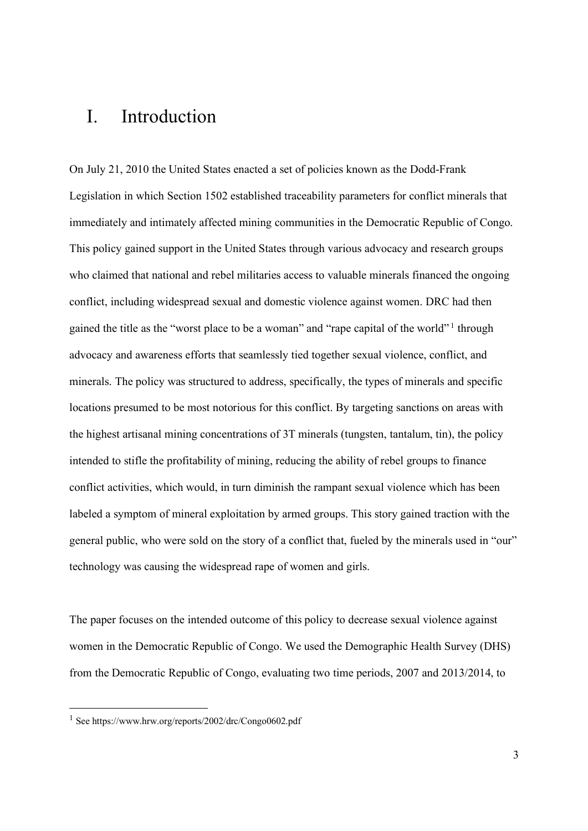## I. Introduction

On July 21, 2010 the United States enacted a set of policies known as the Dodd-Frank Legislation in which Section 1502 established traceability parameters for conflict minerals that immediately and intimately affected mining communities in the Democratic Republic of Congo. This policy gained support in the United States through various advocacy and research groups who claimed that national and rebel militaries access to valuable minerals financed the ongoing conflict, including widespread sexual and domestic violence against women. DRC had then gained the title as the "worst place to be a woman" and "rape capital of the world"<sup>1</sup> through advocacy and awareness efforts that seamlessly tied together sexual violence, conflict, and minerals. The policy was structured to address, specifically, the types of minerals and specific locations presumed to be most notorious for this conflict. By targeting sanctions on areas with the highest artisanal mining concentrations of 3T minerals (tungsten, tantalum, tin), the policy intended to stifle the profitability of mining, reducing the ability of rebel groups to finance conflict activities, which would, in turn diminish the rampant sexual violence which has been labeled a symptom of mineral exploitation by armed groups. This story gained traction with the general public, who were sold on the story of a conflict that, fueled by the minerals used in "our" technology was causing the widespread rape of women and girls.

The paper focuses on the intended outcome of this policy to decrease sexual violence against women in the Democratic Republic of Congo. We used the Demographic Health Survey (DHS) from the Democratic Republic of Congo, evaluating two time periods, 2007 and 2013/2014, to

 <sup>1</sup> See https://www.hrw.org/reports/2002/drc/Congo0602.pdf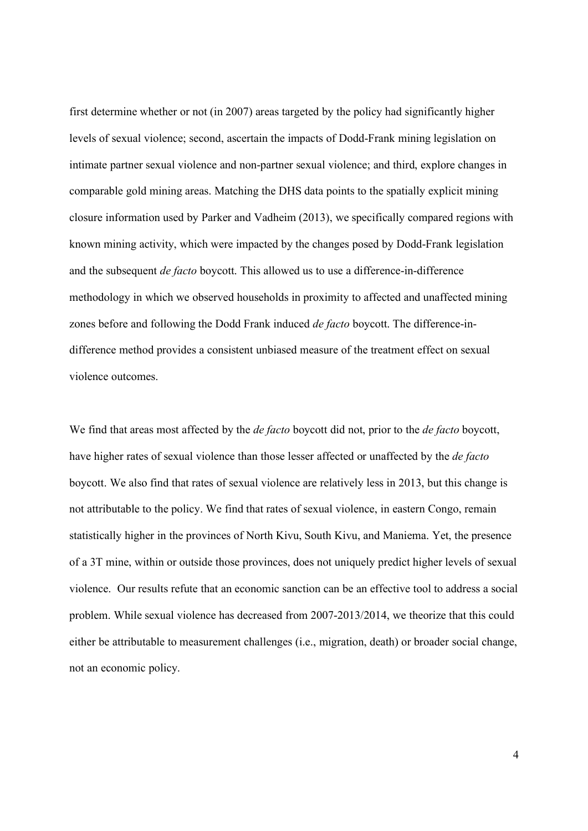first determine whether or not (in 2007) areas targeted by the policy had significantly higher levels of sexual violence; second, ascertain the impacts of Dodd-Frank mining legislation on intimate partner sexual violence and non-partner sexual violence; and third, explore changes in comparable gold mining areas. Matching the DHS data points to the spatially explicit mining closure information used by Parker and Vadheim (2013), we specifically compared regions with known mining activity, which were impacted by the changes posed by Dodd-Frank legislation and the subsequent *de facto* boycott. This allowed us to use a difference-in-difference methodology in which we observed households in proximity to affected and unaffected mining zones before and following the Dodd Frank induced *de facto* boycott. The difference-indifference method provides a consistent unbiased measure of the treatment effect on sexual violence outcomes.

We find that areas most affected by the *de facto* boycott did not, prior to the *de facto* boycott, have higher rates of sexual violence than those lesser affected or unaffected by the *de facto* boycott. We also find that rates of sexual violence are relatively less in 2013, but this change is not attributable to the policy. We find that rates of sexual violence, in eastern Congo, remain statistically higher in the provinces of North Kivu, South Kivu, and Maniema. Yet, the presence of a 3T mine, within or outside those provinces, does not uniquely predict higher levels of sexual violence. Our results refute that an economic sanction can be an effective tool to address a social problem. While sexual violence has decreased from 2007-2013/2014, we theorize that this could either be attributable to measurement challenges (i.e., migration, death) or broader social change, not an economic policy.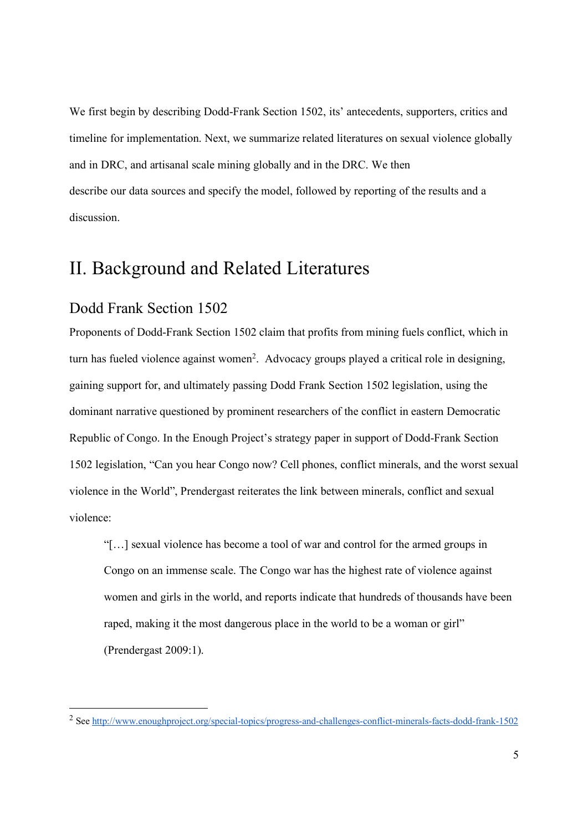We first begin by describing Dodd-Frank Section 1502, its' antecedents, supporters, critics and timeline for implementation. Next, we summarize related literatures on sexual violence globally and in DRC, and artisanal scale mining globally and in the DRC. We then describe our data sources and specify the model, followed by reporting of the results and a discussion.

## II. Background and Related Literatures

#### Dodd Frank Section 1502

Proponents of Dodd-Frank Section 1502 claim that profits from mining fuels conflict, which in turn has fueled violence against women<sup>2</sup>. Advocacy groups played a critical role in designing, gaining support for, and ultimately passing Dodd Frank Section 1502 legislation, using the dominant narrative questioned by prominent researchers of the conflict in eastern Democratic Republic of Congo. In the Enough Project's strategy paper in support of Dodd-Frank Section 1502 legislation, "Can you hear Congo now? Cell phones, conflict minerals, and the worst sexual violence in the World", Prendergast reiterates the link between minerals, conflict and sexual violence:

"[…] sexual violence has become a tool of war and control for the armed groups in Congo on an immense scale. The Congo war has the highest rate of violence against women and girls in the world, and reports indicate that hundreds of thousands have been raped, making it the most dangerous place in the world to be a woman or girl" (Prendergast 2009:1).

<sup>&</sup>lt;sup>2</sup> See http://www.enoughproject.org/special-topics/progress-and-challenges-conflict-minerals-facts-dodd-frank-1502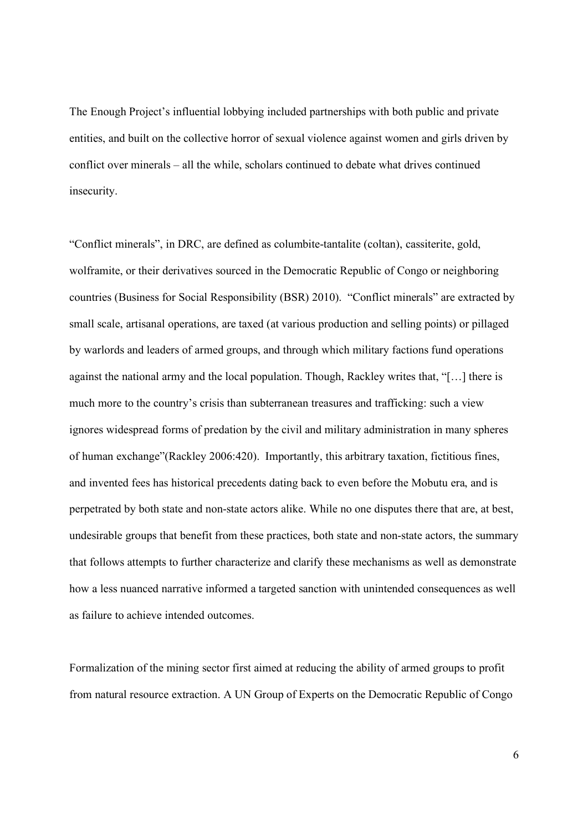The Enough Project's influential lobbying included partnerships with both public and private entities, and built on the collective horror of sexual violence against women and girls driven by conflict over minerals – all the while, scholars continued to debate what drives continued insecurity.

"Conflict minerals", in DRC, are defined as columbite-tantalite (coltan), cassiterite, gold, wolframite, or their derivatives sourced in the Democratic Republic of Congo or neighboring countries (Business for Social Responsibility (BSR) 2010). "Conflict minerals" are extracted by small scale, artisanal operations, are taxed (at various production and selling points) or pillaged by warlords and leaders of armed groups, and through which military factions fund operations against the national army and the local population. Though, Rackley writes that, "[…] there is much more to the country's crisis than subterranean treasures and trafficking: such a view ignores widespread forms of predation by the civil and military administration in many spheres of human exchange"(Rackley 2006:420). Importantly, this arbitrary taxation, fictitious fines, and invented fees has historical precedents dating back to even before the Mobutu era, and is perpetrated by both state and non-state actors alike. While no one disputes there that are, at best, undesirable groups that benefit from these practices, both state and non-state actors, the summary that follows attempts to further characterize and clarify these mechanisms as well as demonstrate how a less nuanced narrative informed a targeted sanction with unintended consequences as well as failure to achieve intended outcomes.

Formalization of the mining sector first aimed at reducing the ability of armed groups to profit from natural resource extraction. A UN Group of Experts on the Democratic Republic of Congo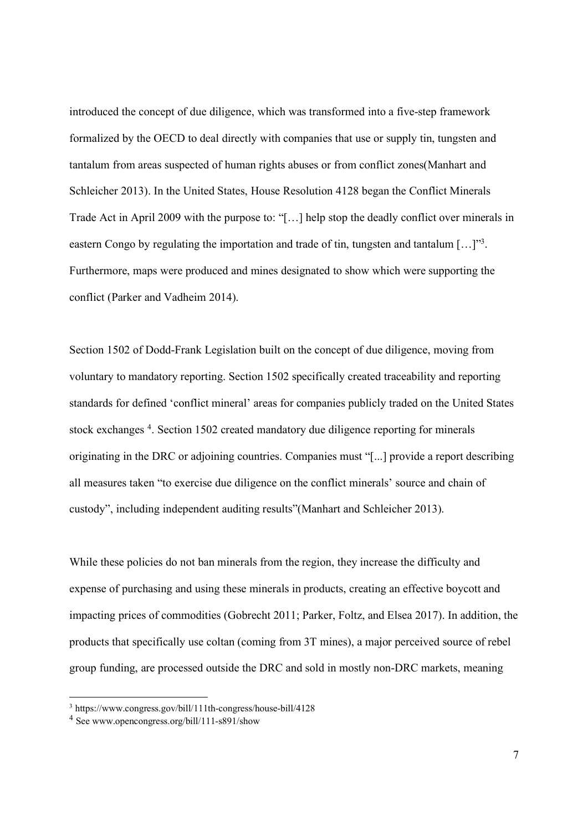introduced the concept of due diligence, which was transformed into a five-step framework formalized by the OECD to deal directly with companies that use or supply tin, tungsten and tantalum from areas suspected of human rights abuses or from conflict zones(Manhart and Schleicher 2013). In the United States, House Resolution 4128 began the Conflict Minerals Trade Act in April 2009 with the purpose to: "[…] help stop the deadly conflict over minerals in eastern Congo by regulating the importation and trade of tin, tungsten and tantalum […]"3. Furthermore, maps were produced and mines designated to show which were supporting the conflict (Parker and Vadheim 2014).

Section 1502 of Dodd-Frank Legislation built on the concept of due diligence, moving from voluntary to mandatory reporting. Section 1502 specifically created traceability and reporting standards for defined 'conflict mineral' areas for companies publicly traded on the United States stock exchanges <sup>4</sup>. Section 1502 created mandatory due diligence reporting for minerals originating in the DRC or adjoining countries. Companies must "[...] provide a report describing all measures taken "to exercise due diligence on the conflict minerals' source and chain of custody", including independent auditing results"(Manhart and Schleicher 2013).

While these policies do not ban minerals from the region, they increase the difficulty and expense of purchasing and using these minerals in products, creating an effective boycott and impacting prices of commodities (Gobrecht 2011; Parker, Foltz, and Elsea 2017). In addition, the products that specifically use coltan (coming from 3T mines), a major perceived source of rebel group funding, are processed outside the DRC and sold in mostly non-DRC markets, meaning

 <sup>3</sup> https://www.congress.gov/bill/111th-congress/house-bill/4128

<sup>4</sup> See www.opencongress.org/bill/111-s891/show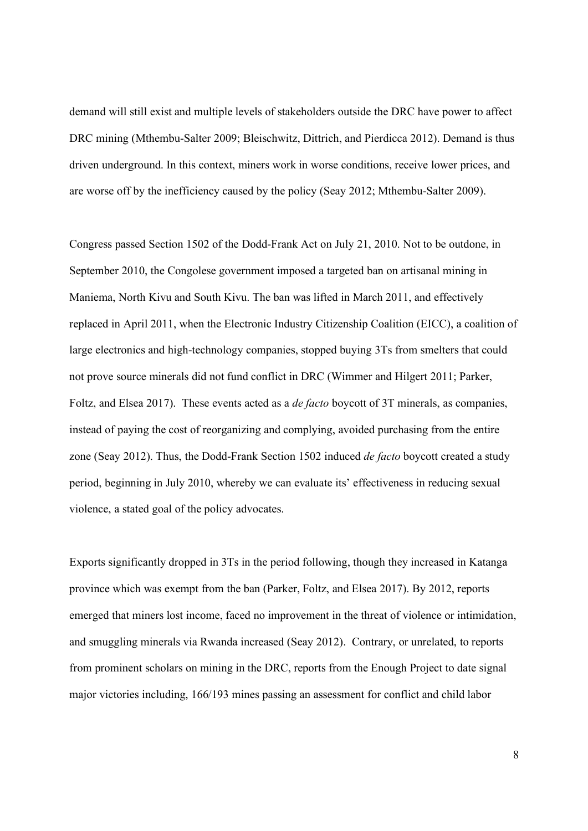demand will still exist and multiple levels of stakeholders outside the DRC have power to affect DRC mining (Mthembu-Salter 2009; Bleischwitz, Dittrich, and Pierdicca 2012). Demand is thus driven underground. In this context, miners work in worse conditions, receive lower prices, and are worse off by the inefficiency caused by the policy (Seay 2012; Mthembu-Salter 2009).

Congress passed Section 1502 of the Dodd-Frank Act on July 21, 2010. Not to be outdone, in September 2010, the Congolese government imposed a targeted ban on artisanal mining in Maniema, North Kivu and South Kivu. The ban was lifted in March 2011, and effectively replaced in April 2011, when the Electronic Industry Citizenship Coalition (EICC), a coalition of large electronics and high-technology companies, stopped buying 3Ts from smelters that could not prove source minerals did not fund conflict in DRC (Wimmer and Hilgert 2011; Parker, Foltz, and Elsea 2017). These events acted as a *de facto* boycott of 3T minerals, as companies, instead of paying the cost of reorganizing and complying, avoided purchasing from the entire zone (Seay 2012). Thus, the Dodd-Frank Section 1502 induced *de facto* boycott created a study period, beginning in July 2010, whereby we can evaluate its' effectiveness in reducing sexual violence, a stated goal of the policy advocates.

Exports significantly dropped in 3Ts in the period following, though they increased in Katanga province which was exempt from the ban (Parker, Foltz, and Elsea 2017). By 2012, reports emerged that miners lost income, faced no improvement in the threat of violence or intimidation, and smuggling minerals via Rwanda increased (Seay 2012). Contrary, or unrelated, to reports from prominent scholars on mining in the DRC, reports from the Enough Project to date signal major victories including, 166/193 mines passing an assessment for conflict and child labor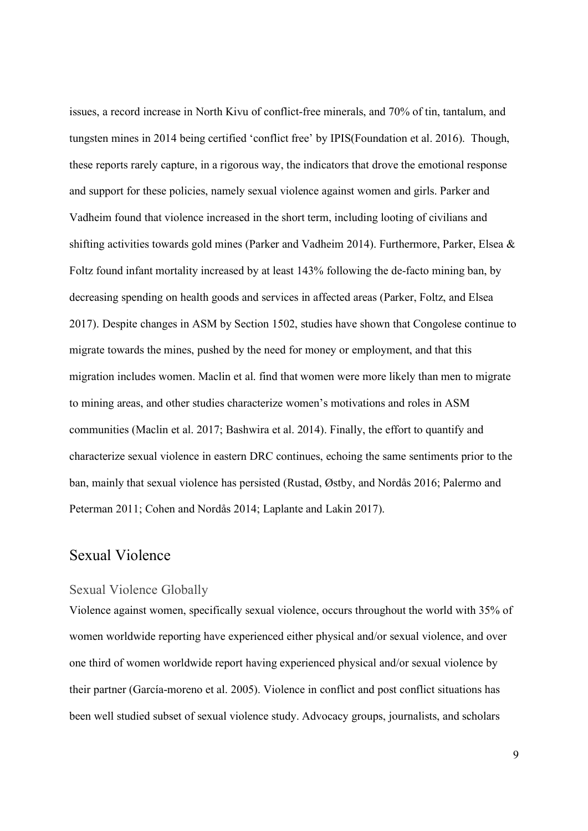issues, a record increase in North Kivu of conflict-free minerals, and 70% of tin, tantalum, and tungsten mines in 2014 being certified 'conflict free' by IPIS(Foundation et al. 2016). Though, these reports rarely capture, in a rigorous way, the indicators that drove the emotional response and support for these policies, namely sexual violence against women and girls. Parker and Vadheim found that violence increased in the short term, including looting of civilians and shifting activities towards gold mines (Parker and Vadheim 2014). Furthermore, Parker, Elsea & Foltz found infant mortality increased by at least 143% following the de-facto mining ban, by decreasing spending on health goods and services in affected areas (Parker, Foltz, and Elsea 2017). Despite changes in ASM by Section 1502, studies have shown that Congolese continue to migrate towards the mines, pushed by the need for money or employment, and that this migration includes women. Maclin et al. find that women were more likely than men to migrate to mining areas, and other studies characterize women's motivations and roles in ASM communities (Maclin et al. 2017; Bashwira et al. 2014). Finally, the effort to quantify and characterize sexual violence in eastern DRC continues, echoing the same sentiments prior to the ban, mainly that sexual violence has persisted (Rustad, Østby, and Nordås 2016; Palermo and Peterman 2011; Cohen and Nordås 2014; Laplante and Lakin 2017).

#### Sexual Violence

#### Sexual Violence Globally

Violence against women, specifically sexual violence, occurs throughout the world with 35% of women worldwide reporting have experienced either physical and/or sexual violence, and over one third of women worldwide report having experienced physical and/or sexual violence by their partner (García-moreno et al. 2005). Violence in conflict and post conflict situations has been well studied subset of sexual violence study. Advocacy groups, journalists, and scholars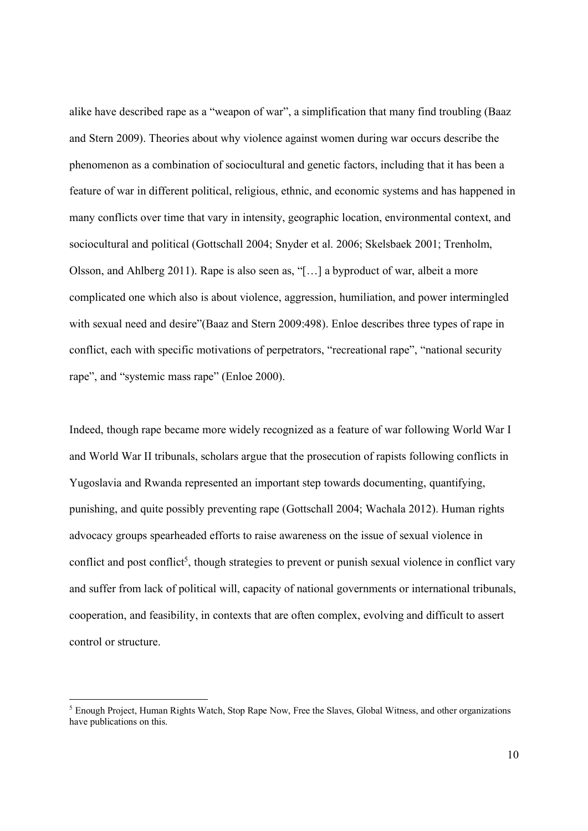alike have described rape as a "weapon of war", a simplification that many find troubling (Baaz and Stern 2009). Theories about why violence against women during war occurs describe the phenomenon as a combination of sociocultural and genetic factors, including that it has been a feature of war in different political, religious, ethnic, and economic systems and has happened in many conflicts over time that vary in intensity, geographic location, environmental context, and sociocultural and political (Gottschall 2004; Snyder et al. 2006; Skelsbaek 2001; Trenholm, Olsson, and Ahlberg 2011). Rape is also seen as, "[…] a byproduct of war, albeit a more complicated one which also is about violence, aggression, humiliation, and power intermingled with sexual need and desire"(Baaz and Stern 2009:498). Enloe describes three types of rape in conflict, each with specific motivations of perpetrators, "recreational rape", "national security rape", and "systemic mass rape" (Enloe 2000).

Indeed, though rape became more widely recognized as a feature of war following World War I and World War II tribunals, scholars argue that the prosecution of rapists following conflicts in Yugoslavia and Rwanda represented an important step towards documenting, quantifying, punishing, and quite possibly preventing rape (Gottschall 2004; Wachala 2012). Human rights advocacy groups spearheaded efforts to raise awareness on the issue of sexual violence in conflict and post conflict<sup>5</sup>, though strategies to prevent or punish sexual violence in conflict vary and suffer from lack of political will, capacity of national governments or international tribunals, cooperation, and feasibility, in contexts that are often complex, evolving and difficult to assert control or structure.

 <sup>5</sup> Enough Project, Human Rights Watch, Stop Rape Now, Free the Slaves, Global Witness, and other organizations have publications on this.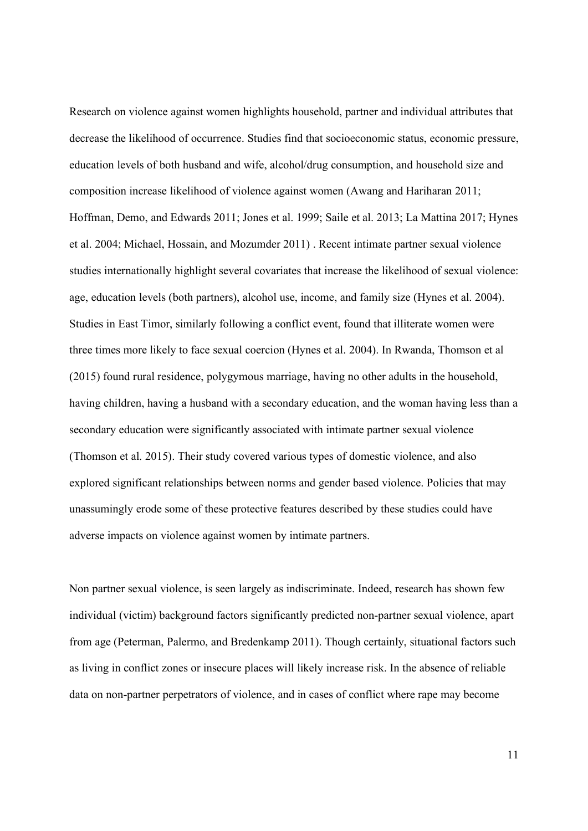Research on violence against women highlights household, partner and individual attributes that decrease the likelihood of occurrence. Studies find that socioeconomic status, economic pressure, education levels of both husband and wife, alcohol/drug consumption, and household size and composition increase likelihood of violence against women (Awang and Hariharan 2011; Hoffman, Demo, and Edwards 2011; Jones et al. 1999; Saile et al. 2013; La Mattina 2017; Hynes et al. 2004; Michael, Hossain, and Mozumder 2011) . Recent intimate partner sexual violence studies internationally highlight several covariates that increase the likelihood of sexual violence: age, education levels (both partners), alcohol use, income, and family size (Hynes et al. 2004). Studies in East Timor, similarly following a conflict event, found that illiterate women were three times more likely to face sexual coercion (Hynes et al. 2004). In Rwanda, Thomson et al (2015) found rural residence, polygymous marriage, having no other adults in the household, having children, having a husband with a secondary education, and the woman having less than a secondary education were significantly associated with intimate partner sexual violence (Thomson et al. 2015). Their study covered various types of domestic violence, and also explored significant relationships between norms and gender based violence. Policies that may unassumingly erode some of these protective features described by these studies could have adverse impacts on violence against women by intimate partners.

Non partner sexual violence, is seen largely as indiscriminate. Indeed, research has shown few individual (victim) background factors significantly predicted non-partner sexual violence, apart from age (Peterman, Palermo, and Bredenkamp 2011). Though certainly, situational factors such as living in conflict zones or insecure places will likely increase risk. In the absence of reliable data on non-partner perpetrators of violence, and in cases of conflict where rape may become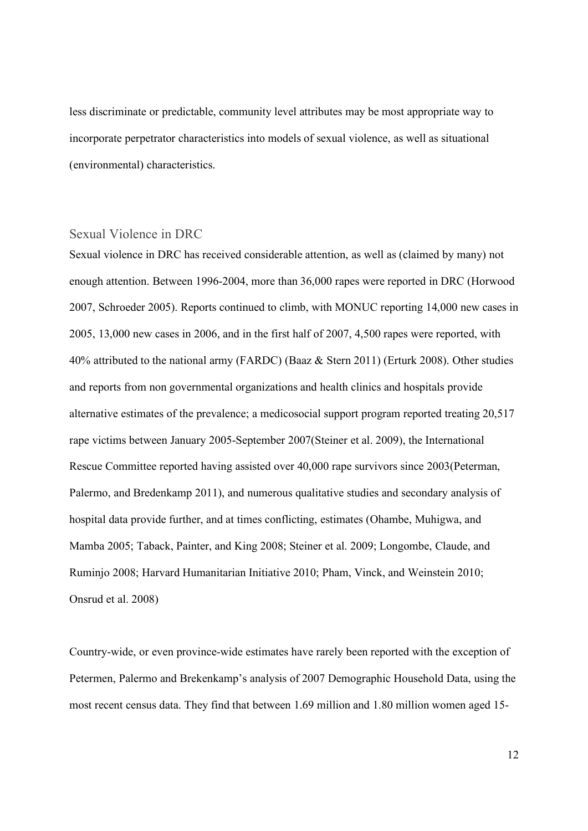less discriminate or predictable, community level attributes may be most appropriate way to incorporate perpetrator characteristics into models of sexual violence, as well as situational (environmental) characteristics.

#### Sexual Violence in DRC

Sexual violence in DRC has received considerable attention, as well as (claimed by many) not enough attention. Between 1996-2004, more than 36,000 rapes were reported in DRC (Horwood 2007, Schroeder 2005). Reports continued to climb, with MONUC reporting 14,000 new cases in 2005, 13,000 new cases in 2006, and in the first half of 2007, 4,500 rapes were reported, with 40% attributed to the national army (FARDC) (Baaz & Stern 2011) (Erturk 2008). Other studies and reports from non governmental organizations and health clinics and hospitals provide alternative estimates of the prevalence; a medicosocial support program reported treating 20,517 rape victims between January 2005-September 2007(Steiner et al. 2009), the International Rescue Committee reported having assisted over 40,000 rape survivors since 2003(Peterman, Palermo, and Bredenkamp 2011), and numerous qualitative studies and secondary analysis of hospital data provide further, and at times conflicting, estimates (Ohambe, Muhigwa, and Mamba 2005; Taback, Painter, and King 2008; Steiner et al. 2009; Longombe, Claude, and Ruminjo 2008; Harvard Humanitarian Initiative 2010; Pham, Vinck, and Weinstein 2010; Onsrud et al. 2008)

Country-wide, or even province-wide estimates have rarely been reported with the exception of Petermen, Palermo and Brekenkamp's analysis of 2007 Demographic Household Data, using the most recent census data. They find that between 1.69 million and 1.80 million women aged 15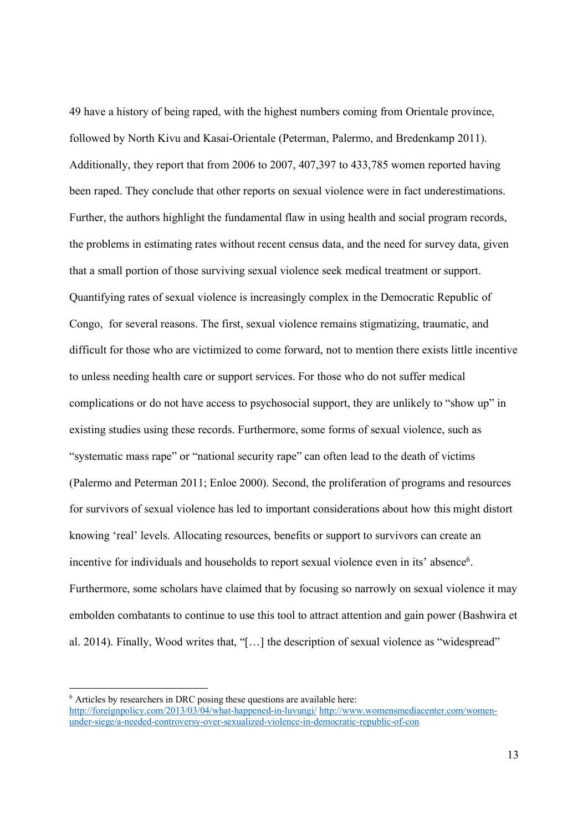49 have a history of being raped, with the highest numbers coming from Orientale province, followed by North Kivu and Kasai-Orientale (Peterman, Palermo, and Bredenkamp 2011). Additionally, they report that from 2006 to 2007, 407,397 to 433,785 women reported having been raped. They conclude that other reports on sexual violence were in fact underestimations. Further, the authors highlight the fundamental flaw in using health and social program records, the problems in estimating rates without recent census data, and the need for survey data, given that a small portion of those surviving sexual violence seek medical treatment or support. Quantifying rates of sexual violence is increasingly complex in the Democratic Republic of Congo, for several reasons. The first, sexual violence remains stigmatizing, traumatic, and difficult for those who are victimized to come forward, not to mention there exists little incentive to unless needing health care or support services. For those who do not suffer medical complications or do not have access to psychosocial support, they are unlikely to "show up" in existing studies using these records. Furthermore, some forms of sexual violence, such as "systematic mass rape" or "national security rape" can often lead to the death of victims (Palermo and Peterman 2011; Enloe 2000). Second, the proliferation of programs and resources for survivors of sexual violence has led to important considerations about how this might distort knowing 'real' levels. Allocating resources, benefits or support to survivors can create an incentive for individuals and households to report sexual violence even in its' absence<sup>6</sup>. Furthermore, some scholars have claimed that by focusing so narrowly on sexual violence it may embolden combatants to continue to use this tool to attract attention and gain power (Bashwira et al. 2014). Finally, Wood writes that, "[…] the description of sexual violence as "widespread"

<sup>&</sup>lt;sup>6</sup> Articles by researchers in DRC posing these questions are available here:

http://foreignpolicy.com/2013/03/04/what-happened-in-luvungi/ http://www.womensmediacenter.com/womenunder-siege/a-needed-controversy-over-sexualized-violence-in-democratic-republic-of-con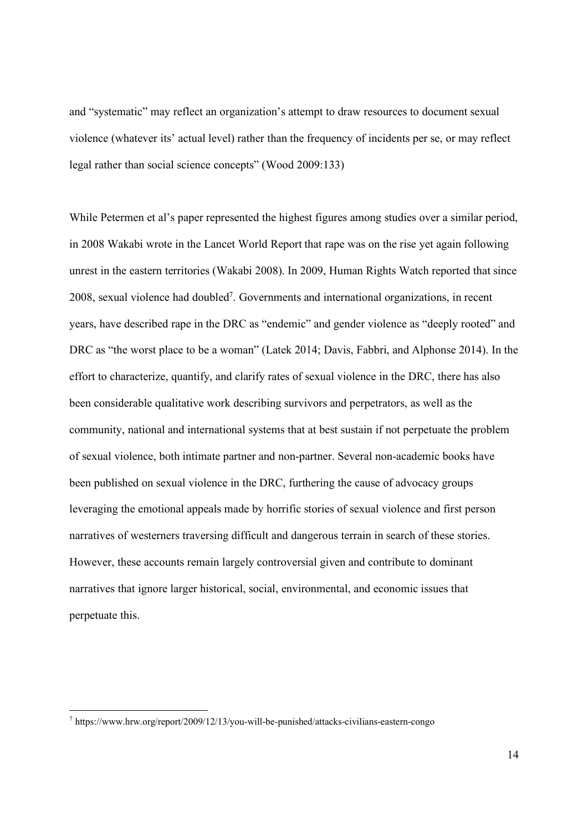and "systematic" may reflect an organization's attempt to draw resources to document sexual violence (whatever its' actual level) rather than the frequency of incidents per se, or may reflect legal rather than social science concepts" (Wood 2009:133)

While Petermen et al's paper represented the highest figures among studies over a similar period, in 2008 Wakabi wrote in the Lancet World Report that rape was on the rise yet again following unrest in the eastern territories (Wakabi 2008). In 2009, Human Rights Watch reported that since 2008, sexual violence had doubled7. Governments and international organizations, in recent years, have described rape in the DRC as "endemic" and gender violence as "deeply rooted" and DRC as "the worst place to be a woman" (Latek 2014; Davis, Fabbri, and Alphonse 2014). In the effort to characterize, quantify, and clarify rates of sexual violence in the DRC, there has also been considerable qualitative work describing survivors and perpetrators, as well as the community, national and international systems that at best sustain if not perpetuate the problem of sexual violence, both intimate partner and non-partner. Several non-academic books have been published on sexual violence in the DRC, furthering the cause of advocacy groups leveraging the emotional appeals made by horrific stories of sexual violence and first person narratives of westerners traversing difficult and dangerous terrain in search of these stories. However, these accounts remain largely controversial given and contribute to dominant narratives that ignore larger historical, social, environmental, and economic issues that perpetuate this.

 <sup>7</sup> https://www.hrw.org/report/2009/12/13/you-will-be-punished/attacks-civilians-eastern-congo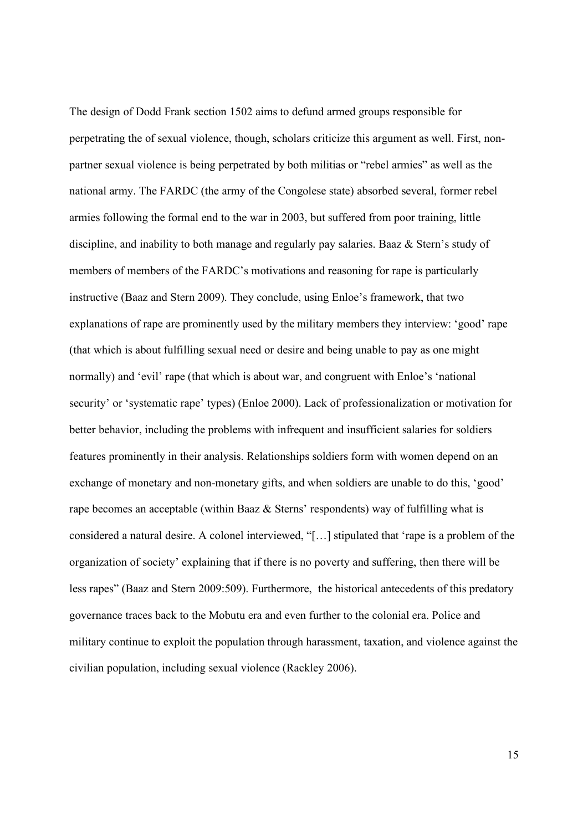The design of Dodd Frank section 1502 aims to defund armed groups responsible for perpetrating the of sexual violence, though, scholars criticize this argument as well. First, nonpartner sexual violence is being perpetrated by both militias or "rebel armies" as well as the national army. The FARDC (the army of the Congolese state) absorbed several, former rebel armies following the formal end to the war in 2003, but suffered from poor training, little discipline, and inability to both manage and regularly pay salaries. Baaz & Stern's study of members of members of the FARDC's motivations and reasoning for rape is particularly instructive (Baaz and Stern 2009). They conclude, using Enloe's framework, that two explanations of rape are prominently used by the military members they interview: 'good' rape (that which is about fulfilling sexual need or desire and being unable to pay as one might normally) and 'evil' rape (that which is about war, and congruent with Enloe's 'national security' or 'systematic rape' types) (Enloe 2000). Lack of professionalization or motivation for better behavior, including the problems with infrequent and insufficient salaries for soldiers features prominently in their analysis. Relationships soldiers form with women depend on an exchange of monetary and non-monetary gifts, and when soldiers are unable to do this, 'good' rape becomes an acceptable (within Baaz & Sterns' respondents) way of fulfilling what is considered a natural desire. A colonel interviewed, "[…] stipulated that 'rape is a problem of the organization of society' explaining that if there is no poverty and suffering, then there will be less rapes" (Baaz and Stern 2009:509). Furthermore, the historical antecedents of this predatory governance traces back to the Mobutu era and even further to the colonial era. Police and military continue to exploit the population through harassment, taxation, and violence against the civilian population, including sexual violence (Rackley 2006).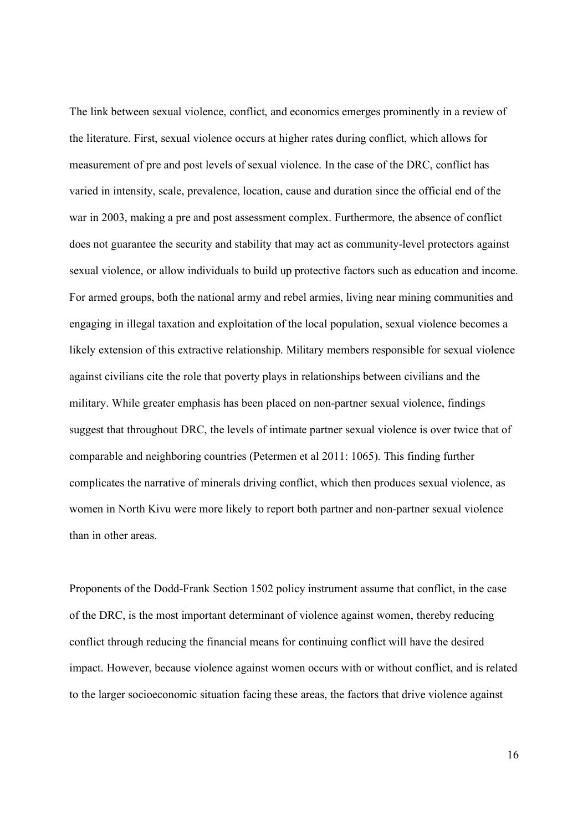The link between sexual violence, conflict, and economics emerges prominently in a review of the literature. First, sexual violence occurs at higher rates during conflict, which allows for measurement of pre and post levels of sexual violence. In the case of the DRC, conflict has varied in intensity, scale, prevalence, location, cause and duration since the official end of the war in 2003, making a pre and post assessment complex. Furthermore, the absence of conflict does not guarantee the security and stability that may act as community-level protectors against sexual violence, or allow individuals to build up protective factors such as education and income. For armed groups, both the national army and rebel armies, living near mining communities and engaging in illegal taxation and exploitation of the local population, sexual violence becomes a likely extension of this extractive relationship. Military members responsible for sexual violence against civilians cite the role that poverty plays in relationships between civilians and the military. While greater emphasis has been placed on non-partner sexual violence, findings suggest that throughout DRC, the levels of intimate partner sexual violence is over twice that of comparable and neighboring countries (Petermen et al 2011: 1065). This finding further complicates the narrative of minerals driving conflict, which then produces sexual violence, as women in North Kivu were more likely to report both partner and non-partner sexual violence than in other areas.

Proponents of the Dodd-Frank Section 1502 policy instrument assume that conflict, in the case of the DRC, is the most important determinant of violence against women, thereby reducing conflict through reducing the financial means for continuing conflict will have the desired impact. However, because violence against women occurs with or without conflict, and is related to the larger socioeconomic situation facing these areas, the factors that drive violence against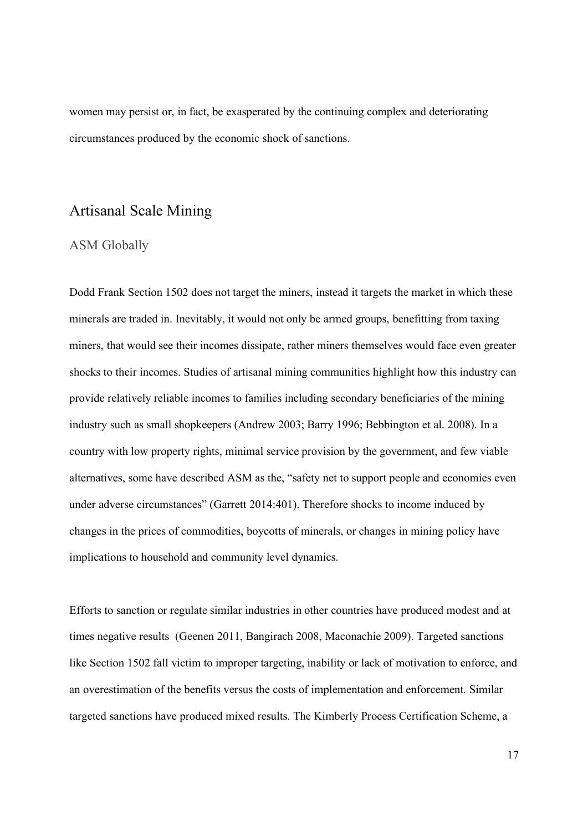women may persist or, in fact, be exasperated by the continuing complex and deteriorating circumstances produced by the economic shock of sanctions.

#### Artisanal Scale Mining

#### ASM Globally

Dodd Frank Section 1502 does not target the miners, instead it targets the market in which these minerals are traded in. Inevitably, it would not only be armed groups, benefitting from taxing miners, that would see their incomes dissipate, rather miners themselves would face even greater shocks to their incomes. Studies of artisanal mining communities highlight how this industry can provide relatively reliable incomes to families including secondary beneficiaries of the mining industry such as small shopkeepers (Andrew 2003; Barry 1996; Bebbington et al. 2008). In a country with low property rights, minimal service provision by the government, and few viable alternatives, some have described ASM as the, "safety net to support people and economies even under adverse circumstances" (Garrett 2014:401). Therefore shocks to income induced by changes in the prices of commodities, boycotts of minerals, or changes in mining policy have implications to household and community level dynamics.

Efforts to sanction or regulate similar industries in other countries have produced modest and at times negative results (Geenen 2011, Bangirach 2008, Maconachie 2009). Targeted sanctions like Section 1502 fall victim to improper targeting, inability or lack of motivation to enforce, and an overestimation of the benefits versus the costs of implementation and enforcement. Similar targeted sanctions have produced mixed results. The Kimberly Process Certification Scheme, a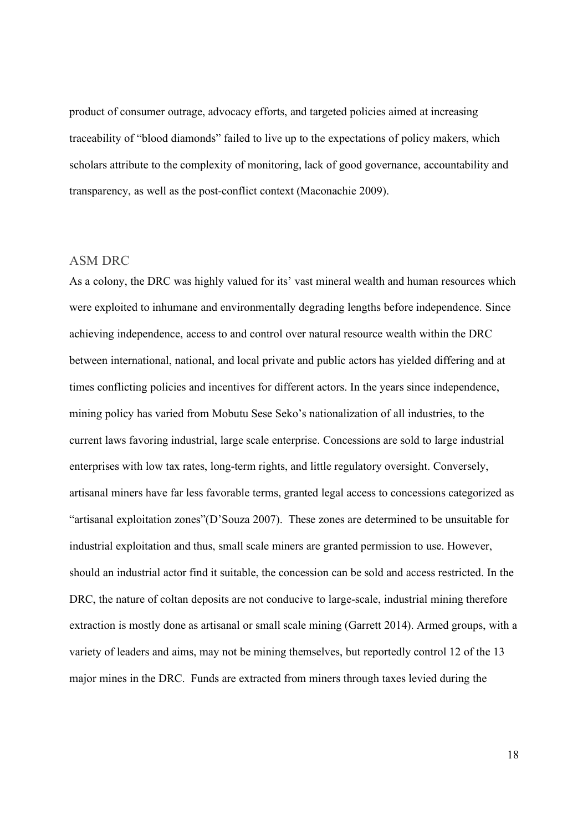product of consumer outrage, advocacy efforts, and targeted policies aimed at increasing traceability of "blood diamonds" failed to live up to the expectations of policy makers, which scholars attribute to the complexity of monitoring, lack of good governance, accountability and transparency, as well as the post-conflict context (Maconachie 2009).

#### ASM DRC

As a colony, the DRC was highly valued for its' vast mineral wealth and human resources which were exploited to inhumane and environmentally degrading lengths before independence. Since achieving independence, access to and control over natural resource wealth within the DRC between international, national, and local private and public actors has yielded differing and at times conflicting policies and incentives for different actors. In the years since independence, mining policy has varied from Mobutu Sese Seko's nationalization of all industries, to the current laws favoring industrial, large scale enterprise. Concessions are sold to large industrial enterprises with low tax rates, long-term rights, and little regulatory oversight. Conversely, artisanal miners have far less favorable terms, granted legal access to concessions categorized as "artisanal exploitation zones"(D'Souza 2007). These zones are determined to be unsuitable for industrial exploitation and thus, small scale miners are granted permission to use. However, should an industrial actor find it suitable, the concession can be sold and access restricted. In the DRC, the nature of coltan deposits are not conducive to large-scale, industrial mining therefore extraction is mostly done as artisanal or small scale mining (Garrett 2014). Armed groups, with a variety of leaders and aims, may not be mining themselves, but reportedly control 12 of the 13 major mines in the DRC. Funds are extracted from miners through taxes levied during the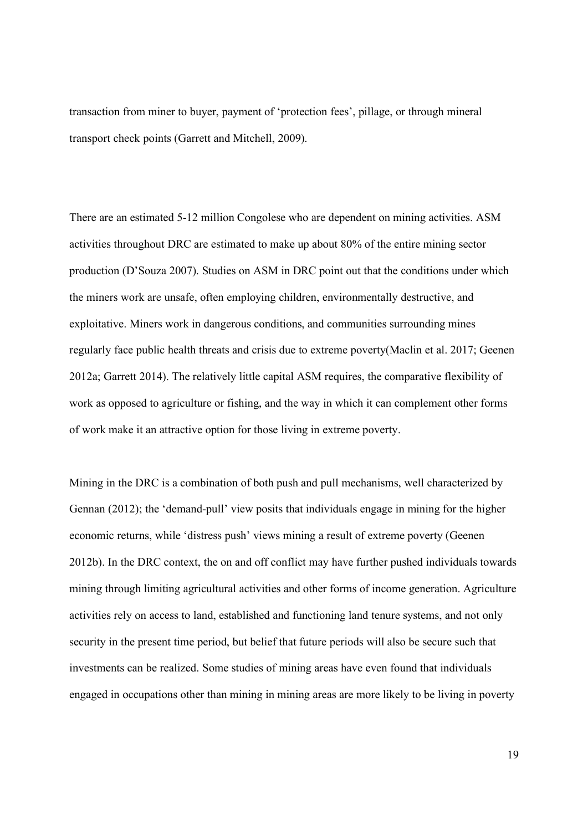transaction from miner to buyer, payment of 'protection fees', pillage, or through mineral transport check points (Garrett and Mitchell, 2009).

There are an estimated 5-12 million Congolese who are dependent on mining activities. ASM activities throughout DRC are estimated to make up about 80% of the entire mining sector production (D'Souza 2007). Studies on ASM in DRC point out that the conditions under which the miners work are unsafe, often employing children, environmentally destructive, and exploitative. Miners work in dangerous conditions, and communities surrounding mines regularly face public health threats and crisis due to extreme poverty(Maclin et al. 2017; Geenen 2012a; Garrett 2014). The relatively little capital ASM requires, the comparative flexibility of work as opposed to agriculture or fishing, and the way in which it can complement other forms of work make it an attractive option for those living in extreme poverty.

Mining in the DRC is a combination of both push and pull mechanisms, well characterized by Gennan (2012); the 'demand-pull' view posits that individuals engage in mining for the higher economic returns, while 'distress push' views mining a result of extreme poverty (Geenen 2012b). In the DRC context, the on and off conflict may have further pushed individuals towards mining through limiting agricultural activities and other forms of income generation. Agriculture activities rely on access to land, established and functioning land tenure systems, and not only security in the present time period, but belief that future periods will also be secure such that investments can be realized. Some studies of mining areas have even found that individuals engaged in occupations other than mining in mining areas are more likely to be living in poverty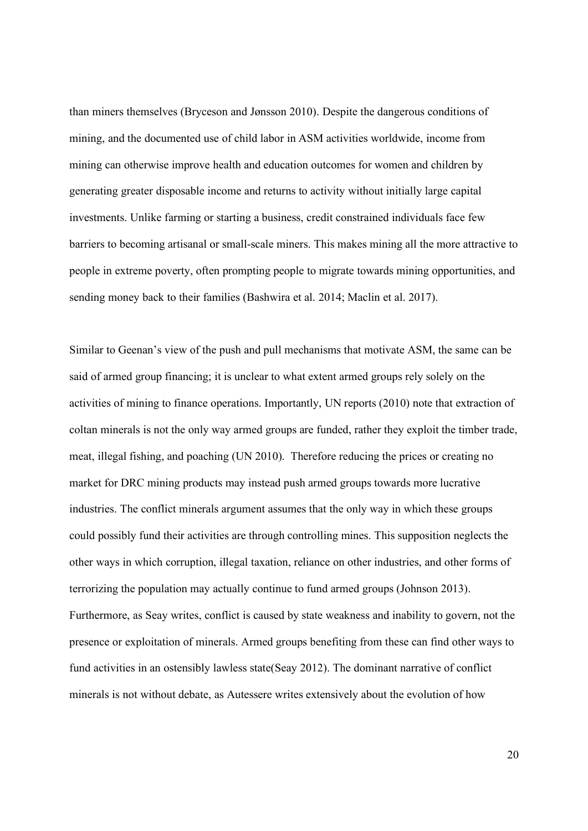than miners themselves (Bryceson and Jønsson 2010). Despite the dangerous conditions of mining, and the documented use of child labor in ASM activities worldwide, income from mining can otherwise improve health and education outcomes for women and children by generating greater disposable income and returns to activity without initially large capital investments. Unlike farming or starting a business, credit constrained individuals face few barriers to becoming artisanal or small-scale miners. This makes mining all the more attractive to people in extreme poverty, often prompting people to migrate towards mining opportunities, and sending money back to their families (Bashwira et al. 2014; Maclin et al. 2017).

Similar to Geenan's view of the push and pull mechanisms that motivate ASM, the same can be said of armed group financing; it is unclear to what extent armed groups rely solely on the activities of mining to finance operations. Importantly, UN reports (2010) note that extraction of coltan minerals is not the only way armed groups are funded, rather they exploit the timber trade, meat, illegal fishing, and poaching (UN 2010). Therefore reducing the prices or creating no market for DRC mining products may instead push armed groups towards more lucrative industries. The conflict minerals argument assumes that the only way in which these groups could possibly fund their activities are through controlling mines. This supposition neglects the other ways in which corruption, illegal taxation, reliance on other industries, and other forms of terrorizing the population may actually continue to fund armed groups (Johnson 2013). Furthermore, as Seay writes, conflict is caused by state weakness and inability to govern, not the presence or exploitation of minerals. Armed groups benefiting from these can find other ways to fund activities in an ostensibly lawless state(Seay 2012). The dominant narrative of conflict minerals is not without debate, as Autessere writes extensively about the evolution of how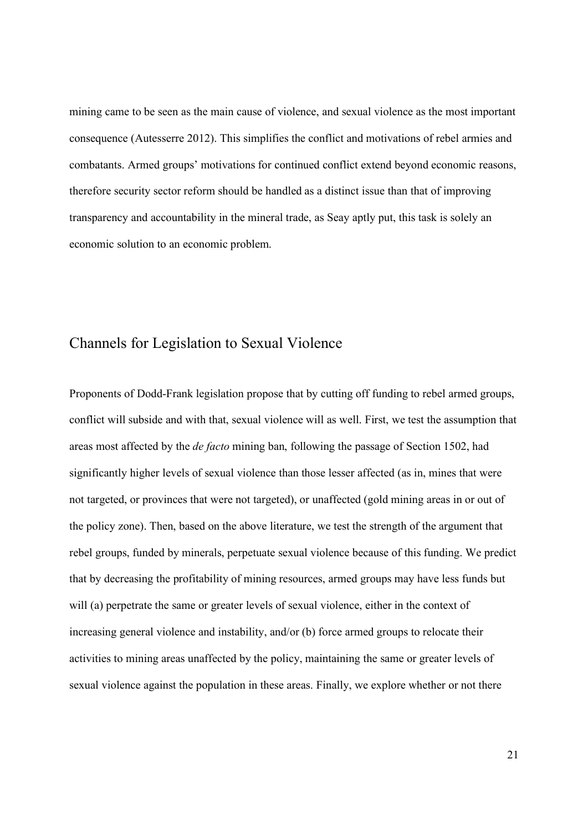mining came to be seen as the main cause of violence, and sexual violence as the most important consequence (Autesserre 2012). This simplifies the conflict and motivations of rebel armies and combatants. Armed groups' motivations for continued conflict extend beyond economic reasons, therefore security sector reform should be handled as a distinct issue than that of improving transparency and accountability in the mineral trade, as Seay aptly put, this task is solely an economic solution to an economic problem.

#### Channels for Legislation to Sexual Violence

Proponents of Dodd-Frank legislation propose that by cutting off funding to rebel armed groups, conflict will subside and with that, sexual violence will as well. First, we test the assumption that areas most affected by the *de facto* mining ban, following the passage of Section 1502, had significantly higher levels of sexual violence than those lesser affected (as in, mines that were not targeted, or provinces that were not targeted), or unaffected (gold mining areas in or out of the policy zone). Then, based on the above literature, we test the strength of the argument that rebel groups, funded by minerals, perpetuate sexual violence because of this funding. We predict that by decreasing the profitability of mining resources, armed groups may have less funds but will (a) perpetrate the same or greater levels of sexual violence, either in the context of increasing general violence and instability, and/or (b) force armed groups to relocate their activities to mining areas unaffected by the policy, maintaining the same or greater levels of sexual violence against the population in these areas. Finally, we explore whether or not there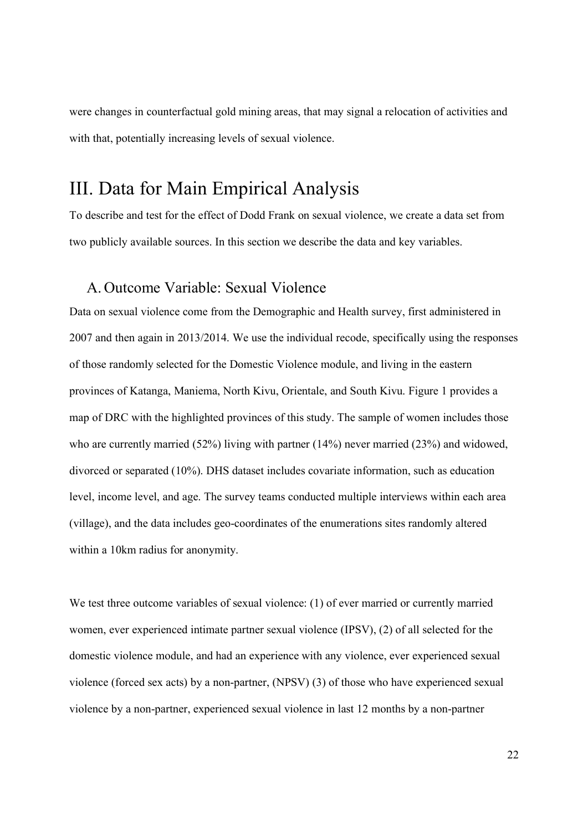were changes in counterfactual gold mining areas, that may signal a relocation of activities and with that, potentially increasing levels of sexual violence.

## III. Data for Main Empirical Analysis

To describe and test for the effect of Dodd Frank on sexual violence, we create a data set from two publicly available sources. In this section we describe the data and key variables.

#### A. Outcome Variable: Sexual Violence

Data on sexual violence come from the Demographic and Health survey, first administered in 2007 and then again in 2013/2014. We use the individual recode, specifically using the responses of those randomly selected for the Domestic Violence module, and living in the eastern provinces of Katanga, Maniema, North Kivu, Orientale, and South Kivu. Figure 1 provides a map of DRC with the highlighted provinces of this study. The sample of women includes those who are currently married (52%) living with partner (14%) never married (23%) and widowed, divorced or separated (10%). DHS dataset includes covariate information, such as education level, income level, and age. The survey teams conducted multiple interviews within each area (village), and the data includes geo-coordinates of the enumerations sites randomly altered within a 10km radius for anonymity.

We test three outcome variables of sexual violence: (1) of ever married or currently married women, ever experienced intimate partner sexual violence (IPSV), (2) of all selected for the domestic violence module, and had an experience with any violence, ever experienced sexual violence (forced sex acts) by a non-partner, (NPSV) (3) of those who have experienced sexual violence by a non-partner, experienced sexual violence in last 12 months by a non-partner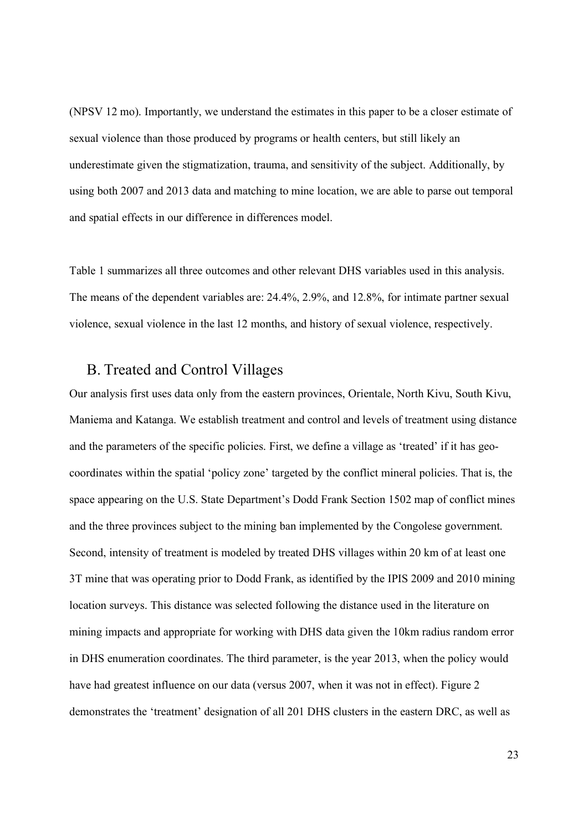(NPSV 12 mo). Importantly, we understand the estimates in this paper to be a closer estimate of sexual violence than those produced by programs or health centers, but still likely an underestimate given the stigmatization, trauma, and sensitivity of the subject. Additionally, by using both 2007 and 2013 data and matching to mine location, we are able to parse out temporal and spatial effects in our difference in differences model.

Table 1 summarizes all three outcomes and other relevant DHS variables used in this analysis. The means of the dependent variables are: 24.4%, 2.9%, and 12.8%, for intimate partner sexual violence, sexual violence in the last 12 months, and history of sexual violence, respectively.

#### B. Treated and Control Villages

Our analysis first uses data only from the eastern provinces, Orientale, North Kivu, South Kivu, Maniema and Katanga. We establish treatment and control and levels of treatment using distance and the parameters of the specific policies. First, we define a village as 'treated' if it has geocoordinates within the spatial 'policy zone' targeted by the conflict mineral policies. That is, the space appearing on the U.S. State Department's Dodd Frank Section 1502 map of conflict mines and the three provinces subject to the mining ban implemented by the Congolese government. Second, intensity of treatment is modeled by treated DHS villages within 20 km of at least one 3T mine that was operating prior to Dodd Frank, as identified by the IPIS 2009 and 2010 mining location surveys. This distance was selected following the distance used in the literature on mining impacts and appropriate for working with DHS data given the 10km radius random error in DHS enumeration coordinates. The third parameter, is the year 2013, when the policy would have had greatest influence on our data (versus 2007, when it was not in effect). Figure 2 demonstrates the 'treatment' designation of all 201 DHS clusters in the eastern DRC, as well as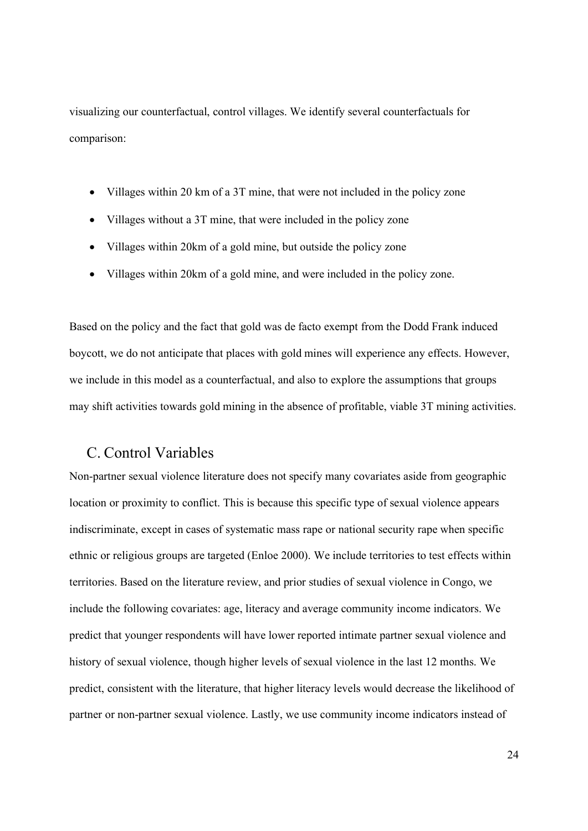visualizing our counterfactual, control villages. We identify several counterfactuals for comparison:

- Villages within 20 km of a 3T mine, that were not included in the policy zone
- Villages without a 3T mine, that were included in the policy zone
- Villages within 20km of a gold mine, but outside the policy zone
- Villages within 20km of a gold mine, and were included in the policy zone.

Based on the policy and the fact that gold was de facto exempt from the Dodd Frank induced boycott, we do not anticipate that places with gold mines will experience any effects. However, we include in this model as a counterfactual, and also to explore the assumptions that groups may shift activities towards gold mining in the absence of profitable, viable 3T mining activities.

#### C. Control Variables

Non-partner sexual violence literature does not specify many covariates aside from geographic location or proximity to conflict. This is because this specific type of sexual violence appears indiscriminate, except in cases of systematic mass rape or national security rape when specific ethnic or religious groups are targeted (Enloe 2000). We include territories to test effects within territories. Based on the literature review, and prior studies of sexual violence in Congo, we include the following covariates: age, literacy and average community income indicators. We predict that younger respondents will have lower reported intimate partner sexual violence and history of sexual violence, though higher levels of sexual violence in the last 12 months. We predict, consistent with the literature, that higher literacy levels would decrease the likelihood of partner or non-partner sexual violence. Lastly, we use community income indicators instead of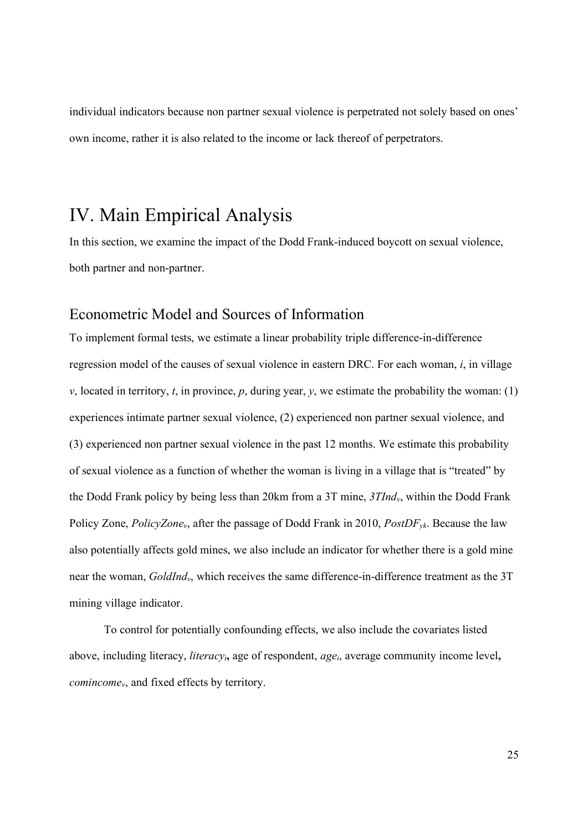individual indicators because non partner sexual violence is perpetrated not solely based on ones' own income, rather it is also related to the income or lack thereof of perpetrators.

## IV. Main Empirical Analysis

In this section, we examine the impact of the Dodd Frank-induced boycott on sexual violence, both partner and non-partner.

#### Econometric Model and Sources of Information

To implement formal tests, we estimate a linear probability triple difference-in-difference regression model of the causes of sexual violence in eastern DRC. For each woman, *i*, in village *v*, located in territory, *t*, in province, *p*, during year, *y*, we estimate the probability the woman: (1) experiences intimate partner sexual violence, (2) experienced non partner sexual violence, and (3) experienced non partner sexual violence in the past 12 months. We estimate this probability of sexual violence as a function of whether the woman is living in a village that is "treated" by the Dodd Frank policy by being less than 20km from a 3T mine, *3TIndv*, within the Dodd Frank Policy Zone, *PolicyZonev*, after the passage of Dodd Frank in 2010, *PostDFyk*. Because the law also potentially affects gold mines, we also include an indicator for whether there is a gold mine near the woman, *GoldIndv*, which receives the same difference-in-difference treatment as the 3T mining village indicator.

To control for potentially confounding effects, we also include the covariates listed above, including literacy, *literacyi***,** age of respondent, *agei*, average community income level**,**  *comincomev*, and fixed effects by territory.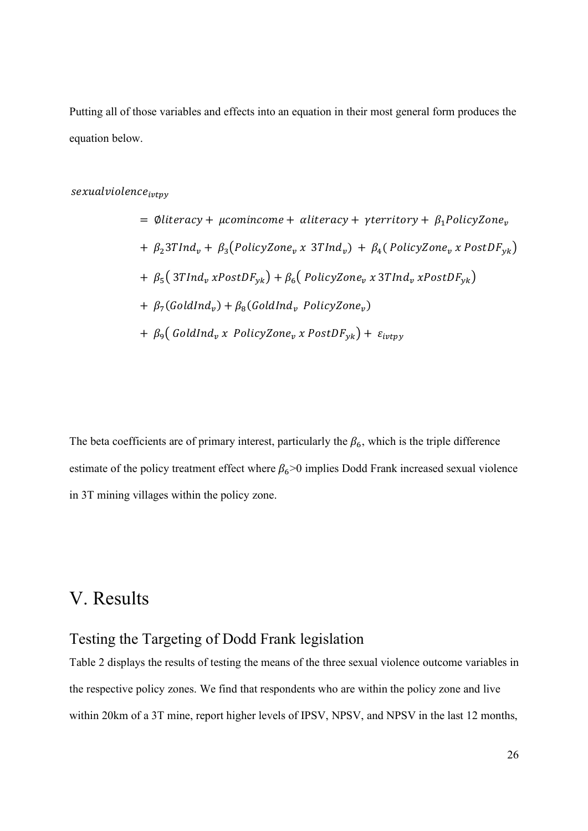Putting all of those variables and effects into an equation in their most general form produces the equation below.

 $sexual violence_{ivtpv}$ 

= 
$$
\emptyset
$$
literacy +  $\mu$ comincome +  $\alpha$ literacy +  $\gamma$ territory +  $\beta_1$ PolicyZone<sub>v</sub>  
+  $\beta_2$ 3TInd<sub>v</sub> +  $\beta_3$ ( $PolicyZone_v x$ 3TInd<sub>v</sub>) +  $\beta_4$ ( $PolicyZone_v x$ PostDF<sub>yk</sub>)  
+  $\beta_5$ (3TInd<sub>v</sub> xPostDF<sub>yk</sub>) +  $\beta_6$ ( $PolicyZone_v x$ 3TInd<sub>v</sub> xPostDF<sub>yk</sub>)  
+  $\beta_7$ ( $GoldInd_v$ ) +  $\beta_8$ ( $GoldInd_v$   $PolicyZone_v$ )  
+  $\beta_9$ ( $GoldInd_v x$   $PolicyZone_v x$  PostDF<sub>yk</sub>) +  $\varepsilon_{ivtyy}$ 

The beta coefficients are of primary interest, particularly the  $\beta_6$ , which is the triple difference estimate of the policy treatment effect where  $\beta_6 > 0$  implies Dodd Frank increased sexual violence in 3T mining villages within the policy zone.

### V. Results

#### Testing the Targeting of Dodd Frank legislation

Table 2 displays the results of testing the means of the three sexual violence outcome variables in the respective policy zones. We find that respondents who are within the policy zone and live within 20km of a 3T mine, report higher levels of IPSV, NPSV, and NPSV in the last 12 months,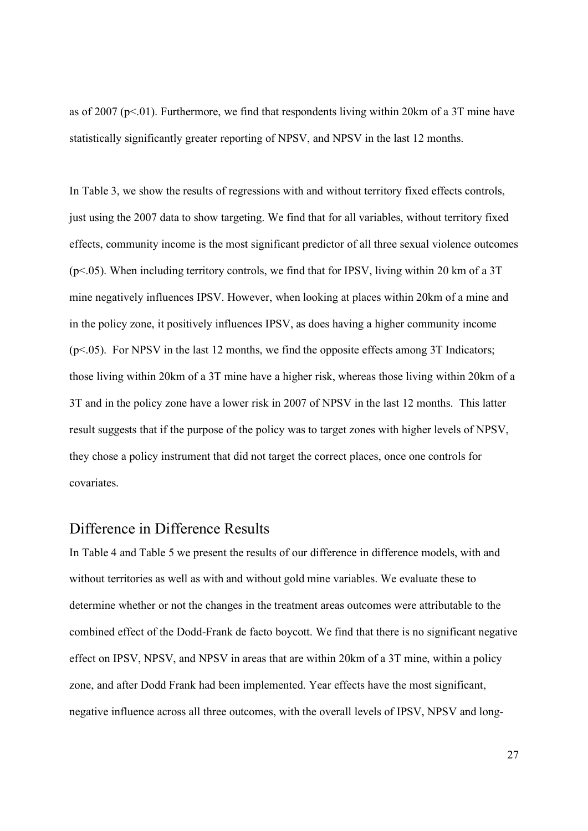as of 2007 ( $p<01$ ). Furthermore, we find that respondents living within 20km of a 3T mine have statistically significantly greater reporting of NPSV, and NPSV in the last 12 months.

In Table 3, we show the results of regressions with and without territory fixed effects controls, just using the 2007 data to show targeting. We find that for all variables, without territory fixed effects, community income is the most significant predictor of all three sexual violence outcomes  $(p<.05)$ . When including territory controls, we find that for IPSV, living within 20 km of a 3T mine negatively influences IPSV. However, when looking at places within 20km of a mine and in the policy zone, it positively influences IPSV, as does having a higher community income  $(p<.05)$ . For NPSV in the last 12 months, we find the opposite effects among 3T Indicators; those living within 20km of a 3T mine have a higher risk, whereas those living within 20km of a 3T and in the policy zone have a lower risk in 2007 of NPSV in the last 12 months. This latter result suggests that if the purpose of the policy was to target zones with higher levels of NPSV, they chose a policy instrument that did not target the correct places, once one controls for covariates.

#### Difference in Difference Results

In Table 4 and Table 5 we present the results of our difference in difference models, with and without territories as well as with and without gold mine variables. We evaluate these to determine whether or not the changes in the treatment areas outcomes were attributable to the combined effect of the Dodd-Frank de facto boycott. We find that there is no significant negative effect on IPSV, NPSV, and NPSV in areas that are within 20km of a 3T mine, within a policy zone, and after Dodd Frank had been implemented. Year effects have the most significant, negative influence across all three outcomes, with the overall levels of IPSV, NPSV and long-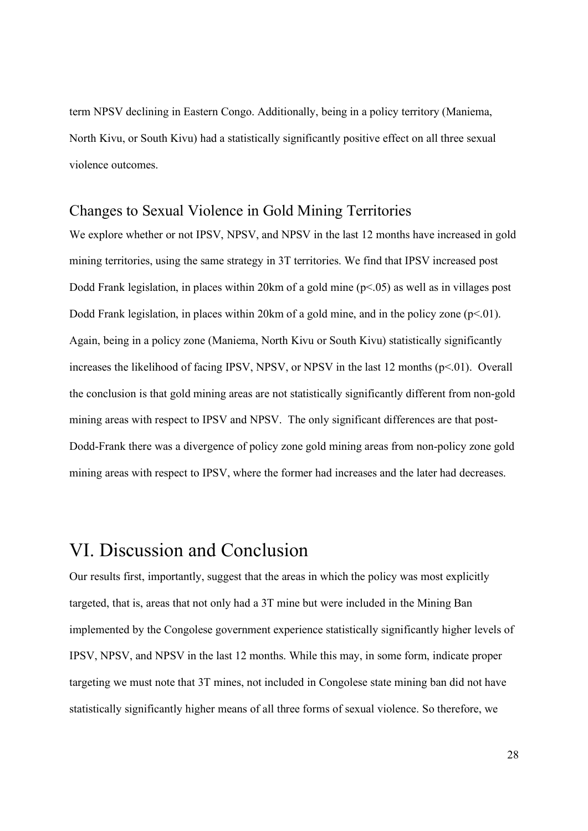term NPSV declining in Eastern Congo. Additionally, being in a policy territory (Maniema, North Kivu, or South Kivu) had a statistically significantly positive effect on all three sexual violence outcomes.

#### Changes to Sexual Violence in Gold Mining Territories

We explore whether or not IPSV, NPSV, and NPSV in the last 12 months have increased in gold mining territories, using the same strategy in 3T territories. We find that IPSV increased post Dodd Frank legislation, in places within 20 km of a gold mine  $(p< 0.05)$  as well as in villages post Dodd Frank legislation, in places within 20km of a gold mine, and in the policy zone  $(p<0.01)$ . Again, being in a policy zone (Maniema, North Kivu or South Kivu) statistically significantly increases the likelihood of facing IPSV, NPSV, or NPSV in the last 12 months  $(p<0.01)$ . Overall the conclusion is that gold mining areas are not statistically significantly different from non-gold mining areas with respect to IPSV and NPSV. The only significant differences are that post-Dodd-Frank there was a divergence of policy zone gold mining areas from non-policy zone gold mining areas with respect to IPSV, where the former had increases and the later had decreases.

## VI. Discussion and Conclusion

Our results first, importantly, suggest that the areas in which the policy was most explicitly targeted, that is, areas that not only had a 3T mine but were included in the Mining Ban implemented by the Congolese government experience statistically significantly higher levels of IPSV, NPSV, and NPSV in the last 12 months. While this may, in some form, indicate proper targeting we must note that 3T mines, not included in Congolese state mining ban did not have statistically significantly higher means of all three forms of sexual violence. So therefore, we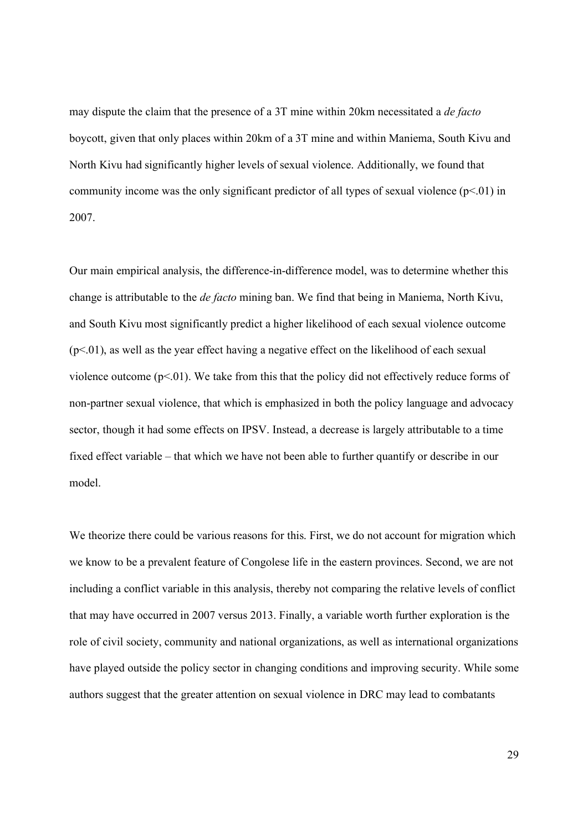may dispute the claim that the presence of a 3T mine within 20km necessitated a *de facto* boycott, given that only places within 20km of a 3T mine and within Maniema, South Kivu and North Kivu had significantly higher levels of sexual violence. Additionally, we found that community income was the only significant predictor of all types of sexual violence  $(p<01)$  in 2007.

Our main empirical analysis, the difference-in-difference model, was to determine whether this change is attributable to the *de facto* mining ban. We find that being in Maniema, North Kivu, and South Kivu most significantly predict a higher likelihood of each sexual violence outcome  $(p<0.01)$ , as well as the year effect having a negative effect on the likelihood of each sexual violence outcome ( $p<01$ ). We take from this that the policy did not effectively reduce forms of non-partner sexual violence, that which is emphasized in both the policy language and advocacy sector, though it had some effects on IPSV. Instead, a decrease is largely attributable to a time fixed effect variable – that which we have not been able to further quantify or describe in our model.

We theorize there could be various reasons for this. First, we do not account for migration which we know to be a prevalent feature of Congolese life in the eastern provinces. Second, we are not including a conflict variable in this analysis, thereby not comparing the relative levels of conflict that may have occurred in 2007 versus 2013. Finally, a variable worth further exploration is the role of civil society, community and national organizations, as well as international organizations have played outside the policy sector in changing conditions and improving security. While some authors suggest that the greater attention on sexual violence in DRC may lead to combatants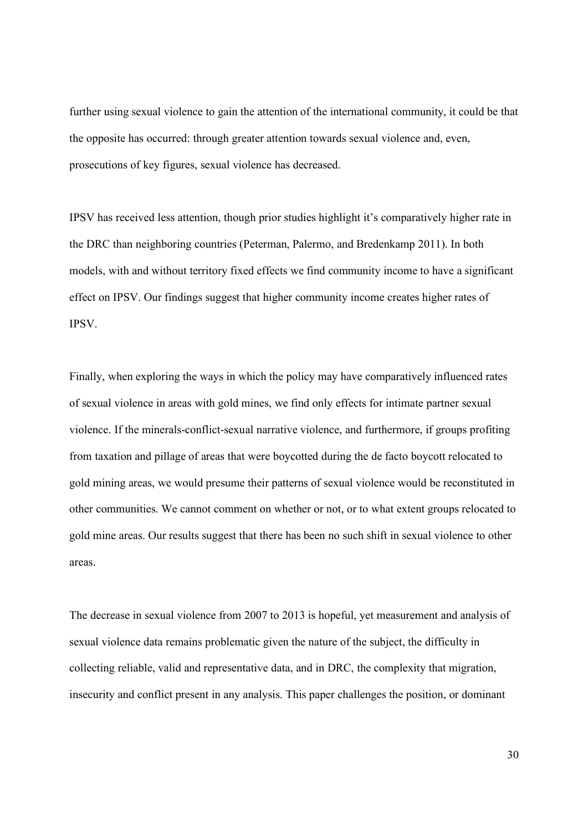further using sexual violence to gain the attention of the international community, it could be that the opposite has occurred: through greater attention towards sexual violence and, even, prosecutions of key figures, sexual violence has decreased.

IPSV has received less attention, though prior studies highlight it's comparatively higher rate in the DRC than neighboring countries (Peterman, Palermo, and Bredenkamp 2011). In both models, with and without territory fixed effects we find community income to have a significant effect on IPSV. Our findings suggest that higher community income creates higher rates of IPSV.

Finally, when exploring the ways in which the policy may have comparatively influenced rates of sexual violence in areas with gold mines, we find only effects for intimate partner sexual violence. If the minerals-conflict-sexual narrative violence, and furthermore, if groups profiting from taxation and pillage of areas that were boycotted during the de facto boycott relocated to gold mining areas, we would presume their patterns of sexual violence would be reconstituted in other communities. We cannot comment on whether or not, or to what extent groups relocated to gold mine areas. Our results suggest that there has been no such shift in sexual violence to other areas.

The decrease in sexual violence from 2007 to 2013 is hopeful, yet measurement and analysis of sexual violence data remains problematic given the nature of the subject, the difficulty in collecting reliable, valid and representative data, and in DRC, the complexity that migration, insecurity and conflict present in any analysis. This paper challenges the position, or dominant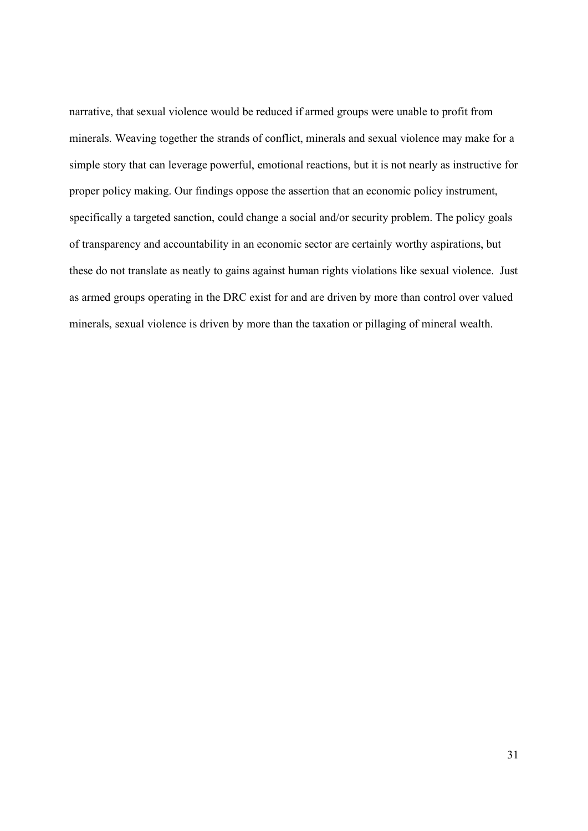narrative, that sexual violence would be reduced if armed groups were unable to profit from minerals. Weaving together the strands of conflict, minerals and sexual violence may make for a simple story that can leverage powerful, emotional reactions, but it is not nearly as instructive for proper policy making. Our findings oppose the assertion that an economic policy instrument, specifically a targeted sanction, could change a social and/or security problem. The policy goals of transparency and accountability in an economic sector are certainly worthy aspirations, but these do not translate as neatly to gains against human rights violations like sexual violence. Just as armed groups operating in the DRC exist for and are driven by more than control over valued minerals, sexual violence is driven by more than the taxation or pillaging of mineral wealth.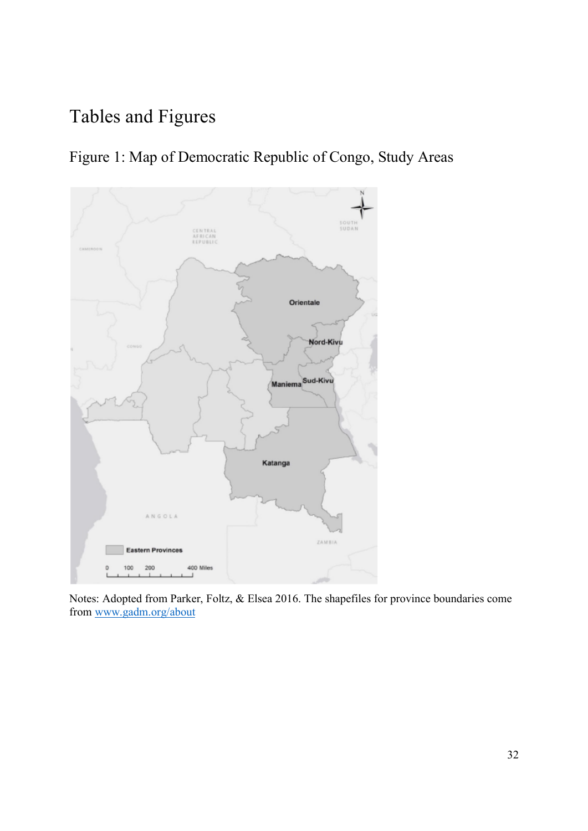# Tables and Figures





Notes: Adopted from Parker, Foltz, & Elsea 2016. The shapefiles for province boundaries come from www.gadm.org/about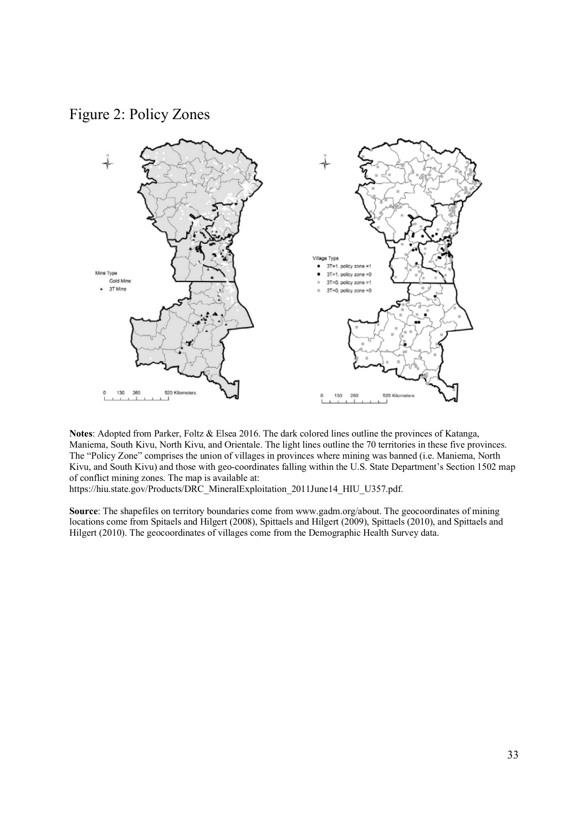Figure 2: Policy Zones



**Notes**: Adopted from Parker, Foltz & Elsea 2016. The dark colored lines outline the provinces of Katanga, Maniema, South Kivu, North Kivu, and Orientale. The light lines outline the 70 territories in these five provinces. The "Policy Zone" comprises the union of villages in provinces where mining was banned (i.e. Maniema, North Kivu, and South Kivu) and those with geo-coordinates falling within the U.S. State Department's Section 1502 map of conflict mining zones. The map is available at:

https://hiu.state.gov/Products/DRC\_MineralExploitation\_2011June14\_HIU\_U357.pdf.

**Source**: The shapefiles on territory boundaries come from www.gadm.org/about. The geocoordinates of mining locations come from Spitaels and Hilgert (2008), Spittaels and Hilgert (2009), Spittaels (2010), and Spittaels and Hilgert (2010). The geocoordinates of villages come from the Demographic Health Survey data.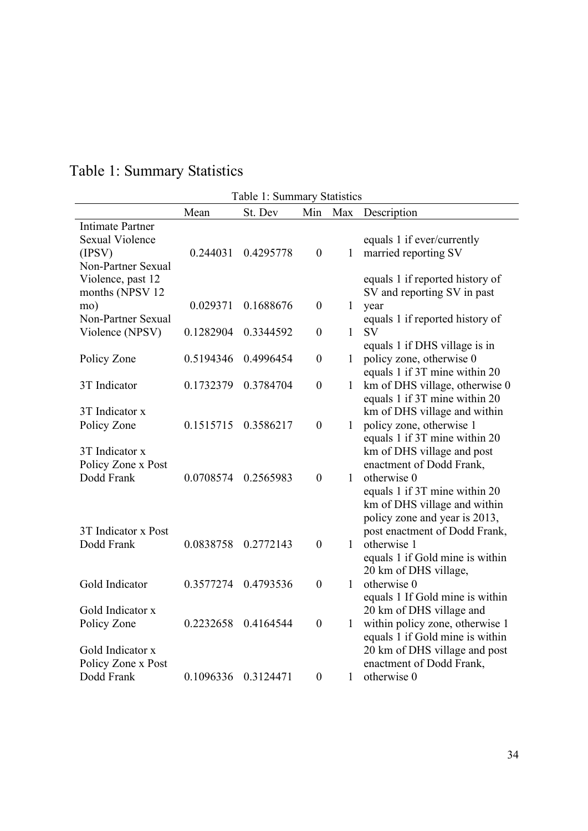|                                                                                   |           | Table 1: Summary Statistics |                  |              |                                                                                                               |
|-----------------------------------------------------------------------------------|-----------|-----------------------------|------------------|--------------|---------------------------------------------------------------------------------------------------------------|
|                                                                                   | Mean      | St. Dev                     | Min              | Max          | Description                                                                                                   |
| <b>Intimate Partner</b><br><b>Sexual Violence</b><br>(IPSV)<br>Non-Partner Sexual | 0.244031  | 0.4295778                   | $\boldsymbol{0}$ | 1            | equals 1 if ever/currently<br>married reporting SV                                                            |
| Violence, past 12<br>months (NPSV 12<br>mo)<br>Non-Partner Sexual                 | 0.029371  | 0.1688676                   | $\boldsymbol{0}$ | 1            | equals 1 if reported history of<br>SV and reporting SV in past<br>year<br>equals 1 if reported history of     |
| Violence (NPSV)                                                                   | 0.1282904 | 0.3344592                   | $\boldsymbol{0}$ | $\mathbf{1}$ | <b>SV</b>                                                                                                     |
| Policy Zone                                                                       | 0.5194346 | 0.4996454                   | $\boldsymbol{0}$ | 1            | equals 1 if DHS village is in<br>policy zone, otherwise 0<br>equals 1 if 3T mine within 20                    |
| 3T Indicator                                                                      | 0.1732379 | 0.3784704                   | $\boldsymbol{0}$ | 1            | km of DHS village, otherwise 0                                                                                |
| 3T Indicator x<br>Policy Zone                                                     | 0.1515715 | 0.3586217                   | $\boldsymbol{0}$ | 1            | equals 1 if 3T mine within 20<br>km of DHS village and within<br>policy zone, otherwise 1                     |
| 3T Indicator x<br>Policy Zone x Post                                              |           |                             |                  |              | equals 1 if 3T mine within 20<br>km of DHS village and post<br>enactment of Dodd Frank,                       |
| Dodd Frank                                                                        | 0.0708574 | 0.2565983                   | $\boldsymbol{0}$ | 1            | otherwise 0<br>equals 1 if 3T mine within 20<br>km of DHS village and within<br>policy zone and year is 2013, |
| 3T Indicator x Post<br>Dodd Frank                                                 | 0.0838758 | 0.2772143                   | $\boldsymbol{0}$ | 1            | post enactment of Dodd Frank,<br>otherwise 1<br>equals 1 if Gold mine is within                               |
| Gold Indicator                                                                    | 0.3577274 | 0.4793536                   | $\boldsymbol{0}$ | 1            | 20 km of DHS village,<br>otherwise 0<br>equals 1 If Gold mine is within                                       |
| Gold Indicator x                                                                  |           |                             |                  |              | 20 km of DHS village and                                                                                      |
| Policy Zone                                                                       | 0.2232658 | 0.4164544                   | $\boldsymbol{0}$ | 1            | within policy zone, otherwise 1<br>equals 1 if Gold mine is within                                            |
| Gold Indicator x<br>Policy Zone x Post                                            |           |                             |                  |              | 20 km of DHS village and post<br>enactment of Dodd Frank,                                                     |
| Dodd Frank                                                                        | 0.1096336 | 0.3124471                   | $\mathbf{0}$     | 1            | otherwise 0                                                                                                   |

# Table 1: Summary Statistics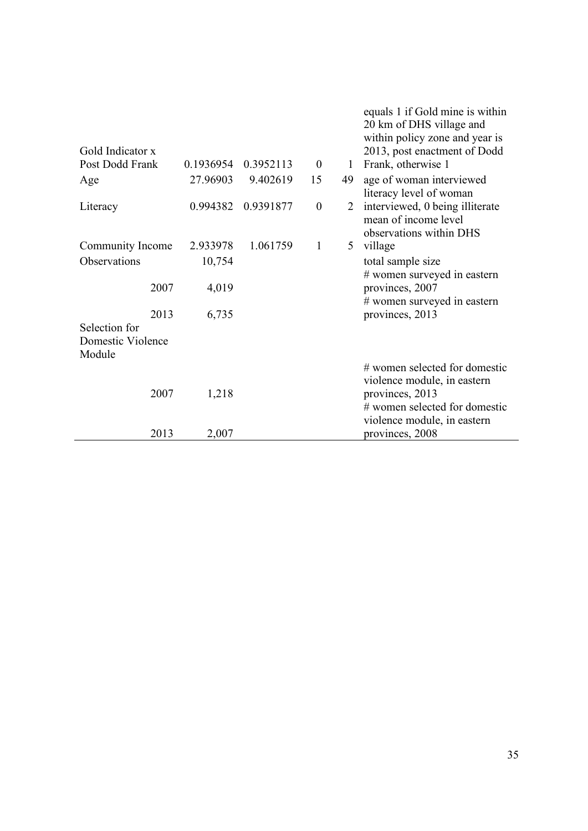| Gold Indicator x<br>Post Dodd Frank | 0.1936954 | 0.3952113 | $\boldsymbol{0}$ | 1  | equals 1 if Gold mine is within<br>20 km of DHS village and<br>within policy zone and year is<br>2013, post enactment of Dodd<br>Frank, otherwise 1 |
|-------------------------------------|-----------|-----------|------------------|----|-----------------------------------------------------------------------------------------------------------------------------------------------------|
| Age                                 | 27.96903  | 9.402619  | 15               | 49 | age of woman interviewed                                                                                                                            |
|                                     |           |           |                  |    | literacy level of woman                                                                                                                             |
| Literacy                            | 0.994382  | 0.9391877 | $\mathbf{0}$     | 2  | interviewed, 0 being illiterate                                                                                                                     |
|                                     |           |           |                  |    | mean of income level                                                                                                                                |
|                                     |           |           |                  |    | observations within DHS                                                                                                                             |
| Community Income                    | 2.933978  | 1.061759  | $\mathbf{1}$     | 5  | village                                                                                                                                             |
| Observations                        | 10,754    |           |                  |    | total sample size                                                                                                                                   |
|                                     |           |           |                  |    | # women surveyed in eastern                                                                                                                         |
| 2007                                | 4,019     |           |                  |    | provinces, 2007                                                                                                                                     |
| 2013                                | 6,735     |           |                  |    | # women surveyed in eastern<br>provinces, 2013                                                                                                      |
| Selection for                       |           |           |                  |    |                                                                                                                                                     |
| Domestic Violence                   |           |           |                  |    |                                                                                                                                                     |
| Module                              |           |           |                  |    |                                                                                                                                                     |
| 2007                                | 1,218     |           |                  |    | # women selected for domestic<br>violence module, in eastern<br>provinces, 2013<br># women selected for domestic<br>violence module, in eastern     |
| 2013                                | 2,007     |           |                  |    | provinces, 2008                                                                                                                                     |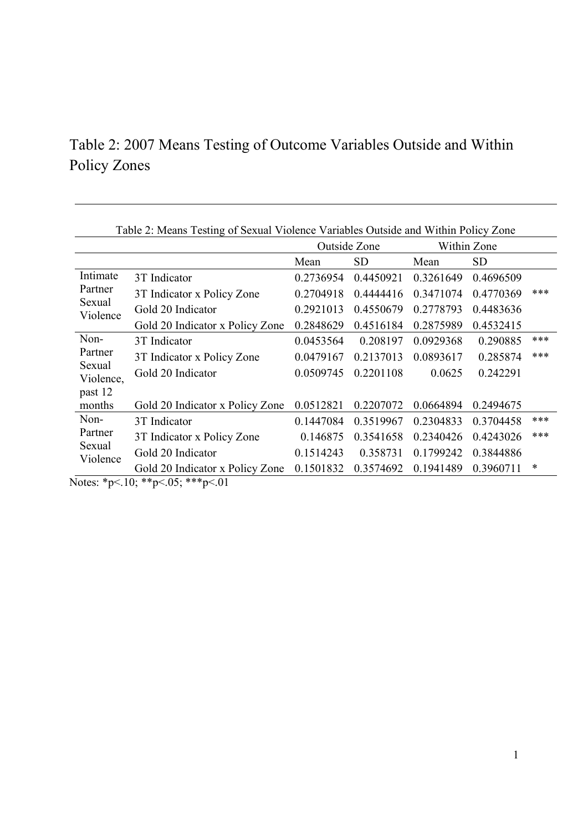## Table 2: 2007 Means Testing of Outcome Variables Outside and Within Policy Zones

|                     | Table 2: Means Testing of Sexual Violence Variables Outside and Within Policy Zone |           |              |           |             |     |
|---------------------|------------------------------------------------------------------------------------|-----------|--------------|-----------|-------------|-----|
|                     |                                                                                    |           | Outside Zone |           | Within Zone |     |
|                     |                                                                                    | Mean      | <b>SD</b>    | Mean      | SD          |     |
| Intimate            | 3T Indicator                                                                       | 0.2736954 | 0.4450921    | 0.3261649 | 0.4696509   |     |
| Partner             | 3T Indicator x Policy Zone                                                         | 0.2704918 | 0.4444416    | 0.3471074 | 0.4770369   | *** |
| Sexual<br>Violence  | Gold 20 Indicator                                                                  | 0.2921013 | 0.4550679    | 0.2778793 | 0.4483636   |     |
|                     | Gold 20 Indicator x Policy Zone                                                    | 0.2848629 | 0.4516184    | 0.2875989 | 0.4532415   |     |
| Non-                | 3T Indicator                                                                       | 0.0453564 | 0.208197     | 0.0929368 | 0.290885    | *** |
| Partner             | 3T Indicator x Policy Zone                                                         | 0.0479167 | 0.2137013    | 0.0893617 | 0.285874    | *** |
| Sexual<br>Violence, | Gold 20 Indicator                                                                  | 0.0509745 | 0.2201108    | 0.0625    | 0.242291    |     |
| past 12             |                                                                                    |           |              |           |             |     |
| months              | Gold 20 Indicator x Policy Zone                                                    | 0.0512821 | 0.2207072    | 0.0664894 | 0.2494675   |     |
| Non-                | 3T Indicator                                                                       | 0.1447084 | 0.3519967    | 0.2304833 | 0.3704458   | *** |
| Partner             | 3T Indicator x Policy Zone                                                         | 0.146875  | 0.3541658    | 0.2340426 | 0.4243026   | *** |
| Sexual              | Gold 20 Indicator                                                                  | 0.1514243 | 0.358731     | 0.1799242 | 0.3844886   |     |
| Violence            | Gold 20 Indicator x Policy Zone                                                    | 0.1501832 | 0.3574692    | 0.1941489 | 0.3960711   | ∗   |

Notes: \*p<.10; \*\*p<.05; \*\*\*p<.01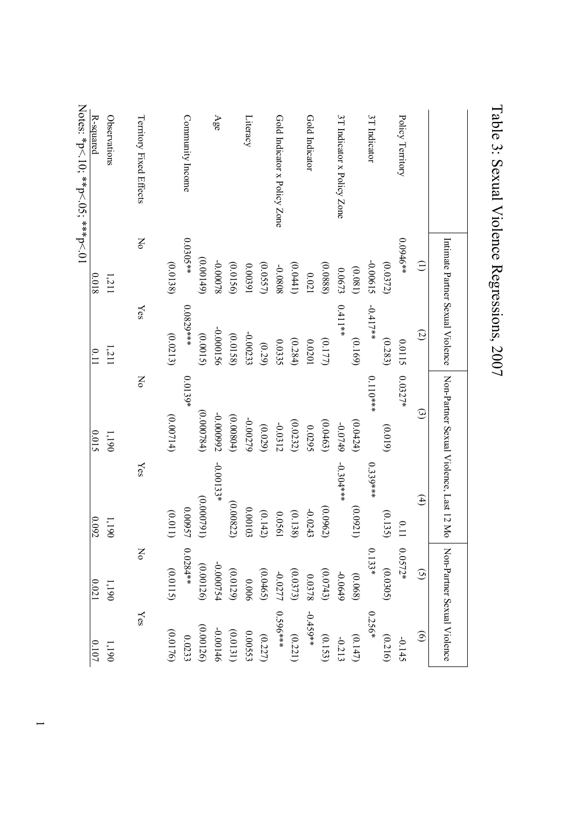|                                                    |            | Intimate Partner Sexual Violence | Non-Partner Sexual Violence, Last 12 Mo |             | Non-Partner Sexual Violence |                   |
|----------------------------------------------------|------------|----------------------------------|-----------------------------------------|-------------|-----------------------------|-------------------|
|                                                    | $\ominus$  | $\mathcal{Q}$                    | $\odot$                                 | $\bigoplus$ | $\odot$                     | $\widehat{\circ}$ |
| Policy Territory                                   | $0.0946**$ | 0.0115                           | $0.0327*$                               | 0.11        | $0.0572*$                   | $-0.145$          |
|                                                    | (0.0372)   | (0.283)                          | (0.019)                                 | (0.135)     | (0.0305)                    | (0.216)           |
| 3T Indicator                                       | -0.00615   | $-0.417**$                       | $0.110***$                              | $0.339***$  | $0.133*$                    | 0.256*            |
|                                                    | (0.081)    | (0.169)                          | (0.0424)                                | (0.0921)    | (0.068)                     | (0.147)           |
| 3T Indicator x Policy Zone                         | 0.0673     | $0.411**$                        | $-0.0749$                               | $-0.304***$ | $-0.0649$                   | $-0.213$          |
|                                                    | (0.0888)   | (0.177)                          | (0.0463)                                | (0.0962)    | (0.0743)                    | (0.153)           |
| Gold Indicator                                     | 0.021      | 0.0201                           | 0.0295                                  | $-0.0243$   | 0.0378                      | $-0.459**$        |
|                                                    | (0.0441)   | (0.284)                          | (0.0232)                                | (0.138)     | (0.0373)                    | (0.221)           |
| Gold Indicator x Policy Zone                       | 8080.0-    | 0.0335                           | $-0.0312$                               | 0.0561      | -0.0277                     | ***9650           |
|                                                    | (0.0557)   | (0.29)                           | (0.029)                                 | (0.142)     | (0.0465)                    | (0.227)           |
| $\mathop{\mathtt{Lineacy}}$                        | 0.00391    | $-0.00233$                       | -0.00279                                | 0.00103     | 0.006                       | 0.00553           |
|                                                    | (0.0156)   | (0.0158)                         | (0.00804)                               | (0.00822)   | (0.0129)                    | (0.0131)          |
| Age                                                | -0.00078   | -0.000156                        | 26600000                                | $-0.00133*$ | -0.000754                   | -0.00146          |
|                                                    | (0.00149)  | (0.0015)                         | (0.000784)                              | (16,00000)  | (0.00126)                   | (0.00126)         |
| Community Income                                   | $0.0305**$ | 0.0829 ***                       | $0.0139*$                               | 0.00957     | $0.0284**$                  | 0.0233            |
|                                                    | (0.0138)   | (0.0213)                         | (0.00714)                               | (0.011)     | (0.0115)                    | (0.0176)          |
| Territory Fixed Effects                            | No         | Yes                              | Σο                                      | Yes         | No                          | Yes               |
| Observations                                       | 1,211      | 1,211                            | 1,190                                   | 1,190       | 1,190                       | $1,190\,$         |
| R-squared                                          | 81000      | 0.11                             | 0.015                                   | 0.092       | $0.021\,$                   | $0.107\,$         |
| $N$ otes: ${}^*p$ (10, ${}^**p$ (10, ${}^**p$ (10) |            |                                  |                                         |             |                             |                   |

# Table 3: Sexual Violence Regressions, 2007 Table 3: Sexual Violence Regressions, 2007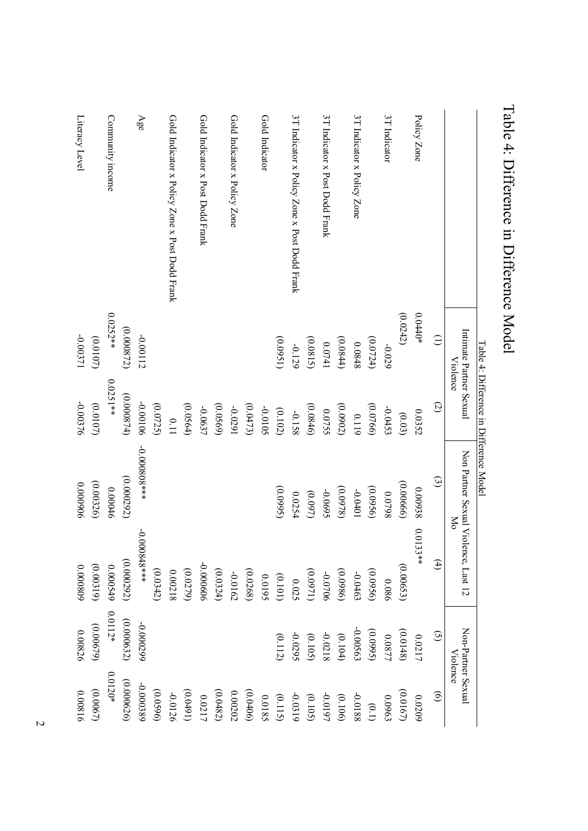|                                                |                                     | Table 4: Difference in Difference Model |                                                   |                   |                                |                    |
|------------------------------------------------|-------------------------------------|-----------------------------------------|---------------------------------------------------|-------------------|--------------------------------|--------------------|
|                                                | Intimate Partner Sexual<br>Violence |                                         | Non Partner Sexual Violence, Last 12<br><b>NO</b> |                   | Non-Partner Sexual<br>Violence |                    |
|                                                | $\widehat{\Xi}$                     | $\mathcal{Q}$                           | $\odot$                                           | $\left( 4\right)$ | $\odot$                        | $\widehat{\Theta}$ |
| Policy Zone                                    | $0.0440*$                           | 0.0352                                  | 0.00938                                           | 0.01<br>33**      | 0.0217                         | 60Z00              |
|                                                | (0.0242)                            | (0.03)                                  | (0.00666)                                         | (0.00653)         | (0.0148)                       | (0.0167)           |
| 3T Indicator                                   | -0.029                              | -0.0453                                 | 8620'0                                            | 0.086             | 0.0877                         | 0.0963             |
|                                                | (0.0724)                            | (0.0766)                                | (0.0956)                                          | (0.0956)          | (6660)                         | (0.1)              |
| 3T Indicator x Policy Zone                     | 0.0848                              | 0.119                                   | $-0.0401$                                         | -0.0463           | -0.00563                       | -0.0188            |
|                                                | (0.0844)                            | (0.0902)                                | (0.0978)                                          | (0.0986)          | (0.104)                        | (0.106)            |
| 3T Indicator x Post Dodd Frank                 | 0.0741                              | 22755                                   | -0.0695                                           | -0.0706           | -0.0218                        | -0.0197            |
|                                                | (0.0815)                            | (0.0846)                                | (0.097)                                           | (1260.0)          | (0.105)                        | (0.105)            |
| 3T Indicator x Policy Zone x Post Dodd Frank   | $-0.129$                            | -0.158                                  | 0.0254                                            | 0.025             | -0.0295                        | -0.0319            |
|                                                | (0.0951)                            | (0.102)                                 | (0.0995)                                          | (0.101)           | (0.112)                        | (0.115)            |
| Gold Indicator                                 |                                     | -0.0105                                 |                                                   | 26100             |                                | 0.0185             |
|                                                |                                     | (0.0473)                                |                                                   | (0.0268)          |                                | (0.0406)           |
| Gold Indicator x Policy Zone                   |                                     | 16200-                                  |                                                   | -0.0162           |                                | 0.00202            |
|                                                |                                     | (0.0569)                                |                                                   | (0.0324)          |                                | (0.0482)           |
| Gold Indicator x Post Dodd Frank               |                                     | -0.0637                                 |                                                   | -0.000606         |                                | 0.0217             |
|                                                |                                     | (0.0564)                                |                                                   | (0.0279)          |                                | (16f0.0)           |
| Gold Indicator x Policy Zone x Post Dodd Frank |                                     | 0.11                                    |                                                   | 0.00218           |                                | -0.0126            |
|                                                |                                     | (0.0725)                                |                                                   | (0.0342)          |                                | (0.0596)           |
| Age                                            | -0.00112                            | 90100'0                                 | ***808000.0-                                      | +0848***          | -0.000299                      | -0.000389          |
|                                                | (0.000872)                          | (0.000874)                              | (0.000292)                                        | (0.000292)        | (0.000632)                     | (0.000626)         |
| Community income                               | $0.0252**$                          | $0.0251**$                              | 0.00046                                           | 0.000549          | $0.0112*$                      | $0.0120*$          |
|                                                | (0.0107)                            | (0.0107)                                | (0.00326)                                         | (0.00319)         | (0.00679)                      | (0.0067)           |
| Literacy Level                                 | 17500.0-                            | -0.00376                                | 0.000906                                          | 0.000809          | 0.00826                        | 0.00816            |

Table 4: Difference in Difference Model Table 4: Difference in Difference Model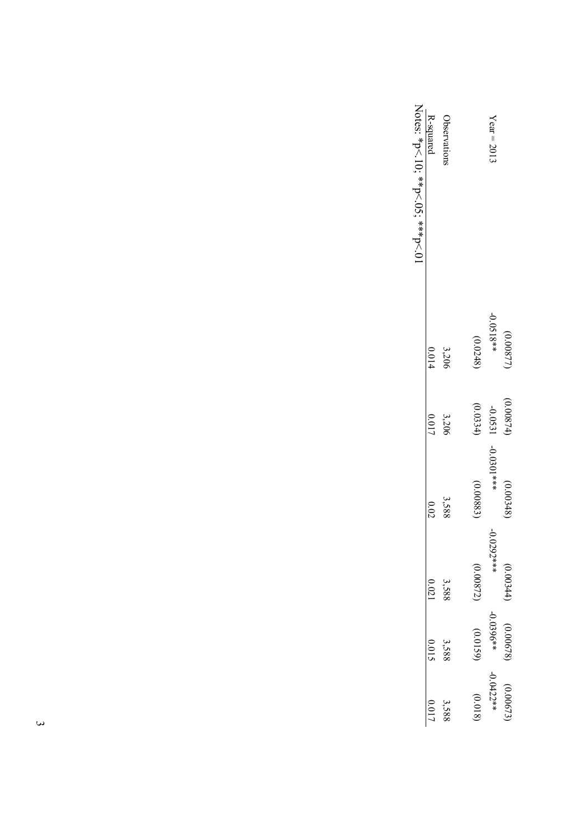|                                 | (0.00877    | (0.00874) | (0.00348)     | (0.00344)    | (0.00678)   | (0.00673    |
|---------------------------------|-------------|-----------|---------------|--------------|-------------|-------------|
| $Year = 2011$                   | $-0.0518**$ | $-0.0531$ | $-0.0301$ *** | $-0.0292***$ | $-0.0396**$ | $-0.0422**$ |
|                                 | (0.0248)    | (0.0334)  | (0.00883)     | (0.00872)    | (0.0159)    | (0.018)     |
| Observations                    | 3,206       | 3,206     | 3,588         | 3,588        | 3,588       | 3,588       |
| R-squared                       | 0.014       | 0.017     | 0.02          | 0.021        | 0.015       |             |
| Notes: *p<.10; **p<.05; **p<.01 |             |           |               |              |             |             |
|                                 |             |           |               |              |             |             |

 $\omega$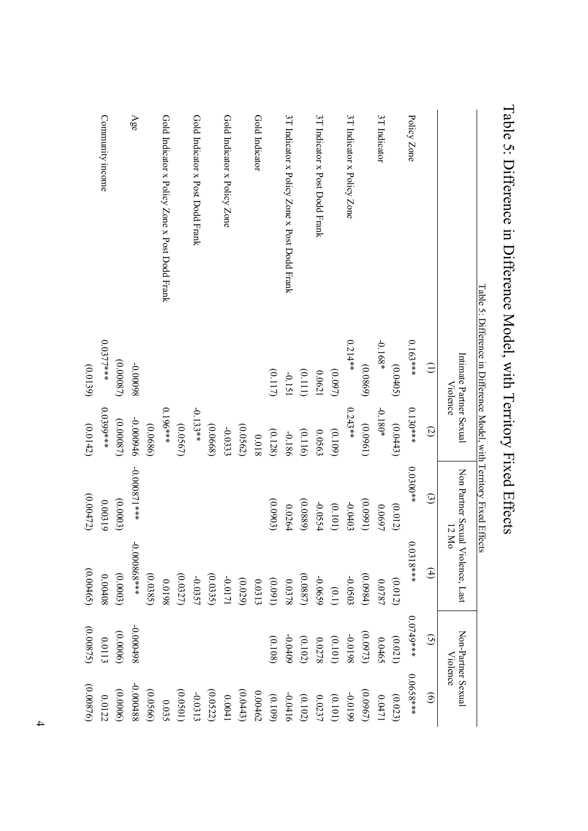| Community income       | Age                      |          | Gold Indicator x Policy Zone x Post Dodd Frank |          | Gold Indicator x Post Dodd Frank |          | Gold Indicator x Policy Zone |          | Gold Indicator |          | 3T Indicator x Policy Zone x Post Dodd Frank |          | 3T Indicator x Post Dodd Frank |           | 3T Indicator x Policy Zone |          | 3T Indicator |          | Policy Zone |                 |                                                                                                              |
|------------------------|--------------------------|----------|------------------------------------------------|----------|----------------------------------|----------|------------------------------|----------|----------------|----------|----------------------------------------------|----------|--------------------------------|-----------|----------------------------|----------|--------------|----------|-------------|-----------------|--------------------------------------------------------------------------------------------------------------|
| $0.0377**$<br>(0.0139) | (0.00087)<br>86000'0-    |          |                                                |          |                                  |          |                              |          |                | (0.117)  | $-0.151$                                     | (0.111)  | 0.0621                         | $(0.097)$ | $0.214**$                  | (0.0869) | $-0.168*$    | (0.0405) | $0.163$ *** | $\widehat{\Xi}$ | Table 5: Difference in Difference Model, with Territory Fixed Effects<br>Intimate Partner Sexual<br>Violence |
| 0.0399***<br>(0.0142)  | 9+6000'0-<br>(0.00087)   | (0.0686) | 0.196***                                       | (0.0567) | $-0.133**$                       | (0.0668) | $-0.0333$                    | (0.0562) | 81000          | (0.128)  | $-0.186$                                     | (0.116)  | 0.0563                         | (0.109)   | $0.243**$                  | (0.0961) | $-0.180*$    | (0.0443) | $0.130***$  | $\odot$         |                                                                                                              |
| (0.00472)<br>0.00319   | +0.000871***<br>(0.0003) |          |                                                |          |                                  |          |                              |          |                | (0.0903) | 0.0264                                       | (0.0889) | -0.0554                        | (0.101)   | -0.0403                    | (1660.0) | 0.0697       | (0.012)  | $0.0300**$  | $\odot$         | Non Partner Sexual<br>12 Mo                                                                                  |
| (0.00465)<br>0.00408   | 0.000868***<br>(0.0003)  | (0.0385) | 861000                                         | (0.0327) | $-0.0357$                        | (0.0335) | 1710.0-                      | (0.029)  | 0.0313         | (160.0)  | 8780.0                                       | (0.0887) | -0.0659                        | (0.1)     | -0.0503                    | (0.0984) | 0.0787       | (0.012)  | $0.0318***$ | $\bigoplus$     | Violence, Last                                                                                               |
| (0.00875)<br>0.0113    | 86t000'0-<br>(0.0006)    |          |                                                |          |                                  |          |                              |          |                | (0.108)  | $-0.0409$                                    | (0.102)  | 0.0278                         | (0.101)   | 8610'0-                    | (0.0973) | 0.0465       | (0.021)  | $0.0749***$ | $\odot$         | Non-Partner Sexual                                                                                           |
| (0.00876)<br>0.0122    | -0.000488<br>(0.0000)    | (0.0566) | 0.035                                          | (0.0501) | $-0.0313$                        | (0.0522) | 0.0041                       | (0.0443) | 0.00462        | (0.109)  | -0.0416                                      | (0.102)  | 0.0237                         | (0.101)   | 6610'0-                    | (0.0967) | 0.0471       | (0.023)  | 0.0658***   | $\odot$         | Violence                                                                                                     |

Table 5: Difference in Difference Model, with Territory Fixed Effects Table 5: Difference in Difference Model, with Territory Fixed Effects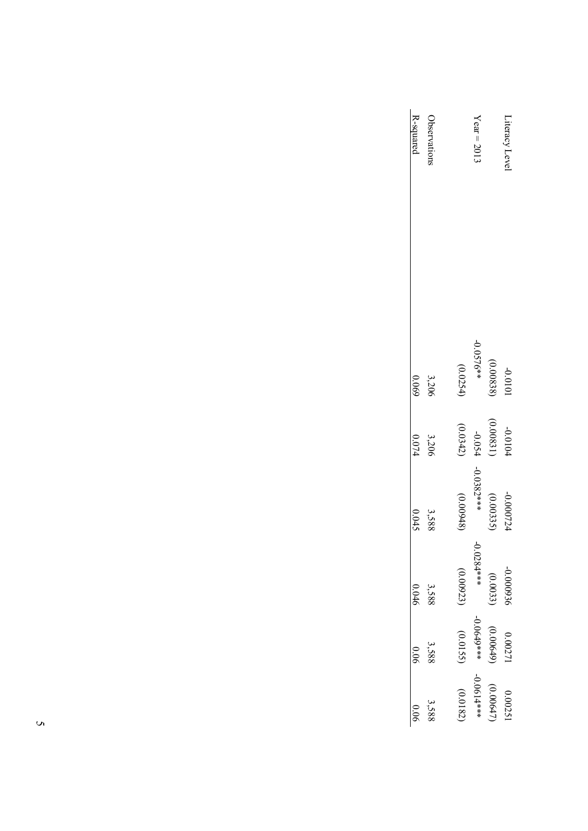| R-squared<br><b>Observation:</b> |           | $Year = 2012$ |           | Literacy Level |
|----------------------------------|-----------|---------------|-----------|----------------|
| 3,206<br>69000                   | (0.0254)  | $-0.0576**$   | (0.00838) | 1010'0-        |
| 3,206<br>$0.074$                 | (0.0342)  | -0.054        | (0.00831) | -0.0104        |
| 3,588<br>0.045                   | (0.00948) | $-0.0382***$  | (0.00335) | -0.000724      |
| 3,588<br>0.046                   | (0.00923) | $-0.0284***$  | (0.0033)  | -0.000936      |
| 3,588<br>0.06                    | (0.0155)  | -0.0649***    | (0.00649) | 0.0027         |
| 3,588                            | (0.0182)  | ****190.0-    | (0.00647) | 0.0025         |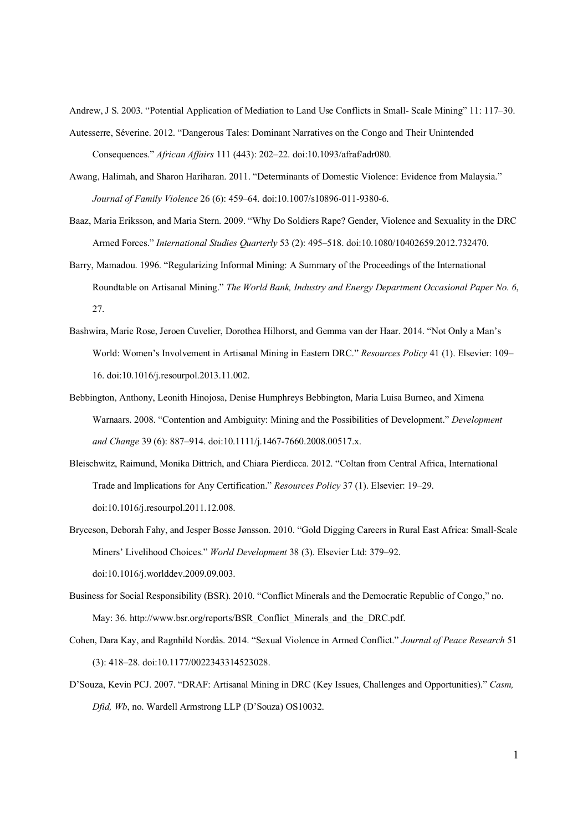Andrew, J S. 2003. "Potential Application of Mediation to Land Use Conflicts in Small- Scale Mining" 11: 117–30. Autesserre, Séverine. 2012. "Dangerous Tales: Dominant Narratives on the Congo and Their Unintended Consequences." *African Affairs* 111 (443): 202–22. doi:10.1093/afraf/adr080.

- Awang, Halimah, and Sharon Hariharan. 2011. "Determinants of Domestic Violence: Evidence from Malaysia." *Journal of Family Violence* 26 (6): 459–64. doi:10.1007/s10896-011-9380-6.
- Baaz, Maria Eriksson, and Maria Stern. 2009. "Why Do Soldiers Rape? Gender, Violence and Sexuality in the DRC Armed Forces." *International Studies Quarterly* 53 (2): 495–518. doi:10.1080/10402659.2012.732470.
- Barry, Mamadou. 1996. "Regularizing Informal Mining: A Summary of the Proceedings of the International Roundtable on Artisanal Mining." *The World Bank, Industry and Energy Department Occasional Paper No. 6*, 27.
- Bashwira, Marie Rose, Jeroen Cuvelier, Dorothea Hilhorst, and Gemma van der Haar. 2014. "Not Only a Man's World: Women's Involvement in Artisanal Mining in Eastern DRC." *Resources Policy* 41 (1). Elsevier: 109– 16. doi:10.1016/j.resourpol.2013.11.002.
- Bebbington, Anthony, Leonith Hinojosa, Denise Humphreys Bebbington, Maria Luisa Burneo, and Ximena Warnaars. 2008. "Contention and Ambiguity: Mining and the Possibilities of Development." *Development and Change* 39 (6): 887–914. doi:10.1111/j.1467-7660.2008.00517.x.
- Bleischwitz, Raimund, Monika Dittrich, and Chiara Pierdicca. 2012. "Coltan from Central Africa, International Trade and Implications for Any Certification." *Resources Policy* 37 (1). Elsevier: 19–29. doi:10.1016/j.resourpol.2011.12.008.
- Bryceson, Deborah Fahy, and Jesper Bosse Jønsson. 2010. "Gold Digging Careers in Rural East Africa: Small-Scale Miners' Livelihood Choices." *World Development* 38 (3). Elsevier Ltd: 379–92. doi:10.1016/j.worlddev.2009.09.003.
- Business for Social Responsibility (BSR). 2010. "Conflict Minerals and the Democratic Republic of Congo," no. May: 36. http://www.bsr.org/reports/BSR\_Conflict\_Minerals\_and\_the\_DRC.pdf.
- Cohen, Dara Kay, and Ragnhild Nordås. 2014. "Sexual Violence in Armed Conflict." *Journal of Peace Research* 51 (3): 418–28. doi:10.1177/0022343314523028.
- D'Souza, Kevin PCJ. 2007. "DRAF: Artisanal Mining in DRC (Key Issues, Challenges and Opportunities)." *Casm, Dfid, Wb*, no. Wardell Armstrong LLP (D'Souza) OS10032.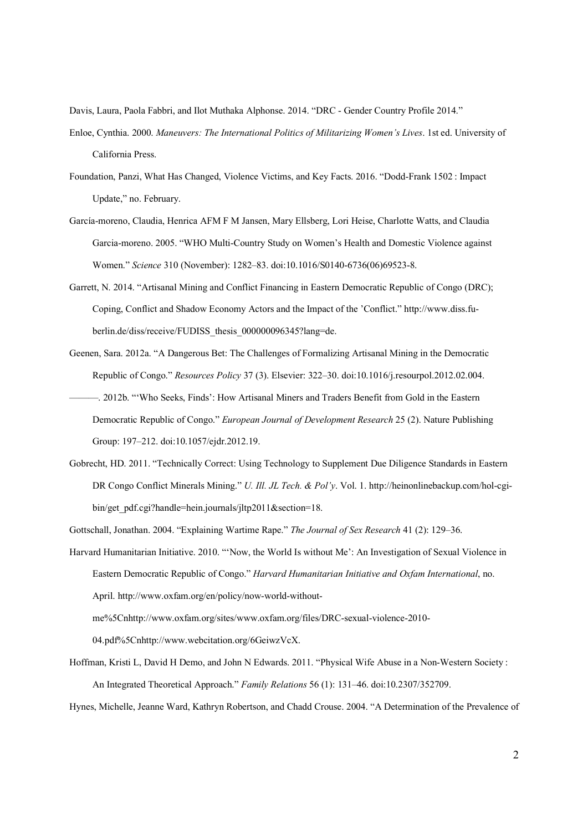Davis, Laura, Paola Fabbri, and Ilot Muthaka Alphonse. 2014. "DRC - Gender Country Profile 2014." Enloe, Cynthia. 2000. *Maneuvers: The International Politics of Militarizing Women's Lives*. 1st ed. University of California Press.

- Foundation, Panzi, What Has Changed, Violence Victims, and Key Facts. 2016. "Dodd-Frank 1502 : Impact Update," no. February.
- García-moreno, Claudia, Henrica AFM F M Jansen, Mary Ellsberg, Lori Heise, Charlotte Watts, and Claudia Garcia-moreno. 2005. "WHO Multi-Country Study on Women's Health and Domestic Violence against Women." *Science* 310 (November): 1282–83. doi:10.1016/S0140-6736(06)69523-8.
- Garrett, N. 2014. "Artisanal Mining and Conflict Financing in Eastern Democratic Republic of Congo (DRC); Coping, Conflict and Shadow Economy Actors and the Impact of the 'Conflict." http://www.diss.fuberlin.de/diss/receive/FUDISS\_thesis\_000000096345?lang=de.
- Geenen, Sara. 2012a. "A Dangerous Bet: The Challenges of Formalizing Artisanal Mining in the Democratic Republic of Congo." *Resources Policy* 37 (3). Elsevier: 322–30. doi:10.1016/j.resourpol.2012.02.004.
- ———. 2012b. "'Who Seeks, Finds': How Artisanal Miners and Traders Benefit from Gold in the Eastern Democratic Republic of Congo." *European Journal of Development Research* 25 (2). Nature Publishing Group: 197–212. doi:10.1057/ejdr.2012.19.
- Gobrecht, HD. 2011. "Technically Correct: Using Technology to Supplement Due Diligence Standards in Eastern DR Congo Conflict Minerals Mining." *U. Ill. JL Tech. & Pol'y*. Vol. 1. http://heinonlinebackup.com/hol-cgibin/get\_pdf.cgi?handle=hein.journals/jltp2011&section=18.
- Gottschall, Jonathan. 2004. "Explaining Wartime Rape." *The Journal of Sex Research* 41 (2): 129–36.
- Harvard Humanitarian Initiative. 2010. "'Now, the World Is without Me': An Investigation of Sexual Violence in Eastern Democratic Republic of Congo." *Harvard Humanitarian Initiative and Oxfam International*, no. April. http://www.oxfam.org/en/policy/now-world-withoutme%5Cnhttp://www.oxfam.org/sites/www.oxfam.org/files/DRC-sexual-violence-2010-

04.pdf%5Cnhttp://www.webcitation.org/6GeiwzVcX.

Hoffman, Kristi L, David H Demo, and John N Edwards. 2011. "Physical Wife Abuse in a Non-Western Society : An Integrated Theoretical Approach." *Family Relations* 56 (1): 131–46. doi:10.2307/352709.

Hynes, Michelle, Jeanne Ward, Kathryn Robertson, and Chadd Crouse. 2004. "A Determination of the Prevalence of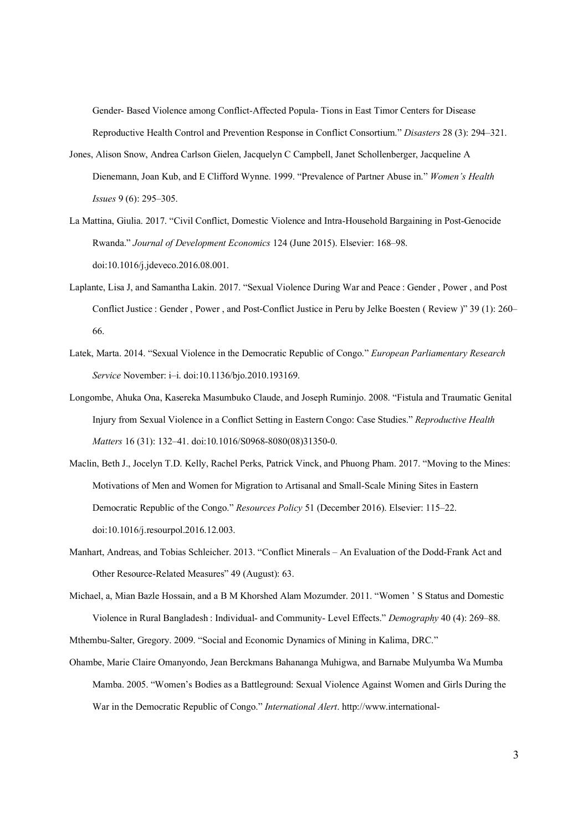Gender- Based Violence among Conflict-Affected Popula- Tions in East Timor Centers for Disease Reproductive Health Control and Prevention Response in Conflict Consortium." *Disasters* 28 (3): 294–321.

- Jones, Alison Snow, Andrea Carlson Gielen, Jacquelyn C Campbell, Janet Schollenberger, Jacqueline A Dienemann, Joan Kub, and E Clifford Wynne. 1999. "Prevalence of Partner Abuse in." *Women's Health Issues* 9 (6): 295–305.
- La Mattina, Giulia. 2017. "Civil Conflict, Domestic Violence and Intra-Household Bargaining in Post-Genocide Rwanda." *Journal of Development Economics* 124 (June 2015). Elsevier: 168–98. doi:10.1016/j.jdeveco.2016.08.001.
- Laplante, Lisa J, and Samantha Lakin. 2017. "Sexual Violence During War and Peace : Gender , Power , and Post Conflict Justice : Gender , Power , and Post-Conflict Justice in Peru by Jelke Boesten ( Review )" 39 (1): 260– 66.
- Latek, Marta. 2014. "Sexual Violence in the Democratic Republic of Congo." *European Parliamentary Research Service* November: i–i. doi:10.1136/bjo.2010.193169.
- Longombe, Ahuka Ona, Kasereka Masumbuko Claude, and Joseph Ruminjo. 2008. "Fistula and Traumatic Genital Injury from Sexual Violence in a Conflict Setting in Eastern Congo: Case Studies." *Reproductive Health Matters* 16 (31): 132–41. doi:10.1016/S0968-8080(08)31350-0.
- Maclin, Beth J., Jocelyn T.D. Kelly, Rachel Perks, Patrick Vinck, and Phuong Pham. 2017. "Moving to the Mines: Motivations of Men and Women for Migration to Artisanal and Small-Scale Mining Sites in Eastern Democratic Republic of the Congo." *Resources Policy* 51 (December 2016). Elsevier: 115–22. doi:10.1016/j.resourpol.2016.12.003.
- Manhart, Andreas, and Tobias Schleicher. 2013. "Conflict Minerals An Evaluation of the Dodd-Frank Act and Other Resource-Related Measures" 49 (August): 63.
- Michael, a, Mian Bazle Hossain, and a B M Khorshed Alam Mozumder. 2011. "Women ' S Status and Domestic Violence in Rural Bangladesh : Individual- and Community- Level Effects." *Demography* 40 (4): 269–88.
- Mthembu-Salter, Gregory. 2009. "Social and Economic Dynamics of Mining in Kalima, DRC."
- Ohambe, Marie Claire Omanyondo, Jean Berckmans Bahananga Muhigwa, and Barnabe Mulyumba Wa Mumba Mamba. 2005. "Women's Bodies as a Battleground: Sexual Violence Against Women and Girls During the War in the Democratic Republic of Congo." *International Alert*. http://www.international-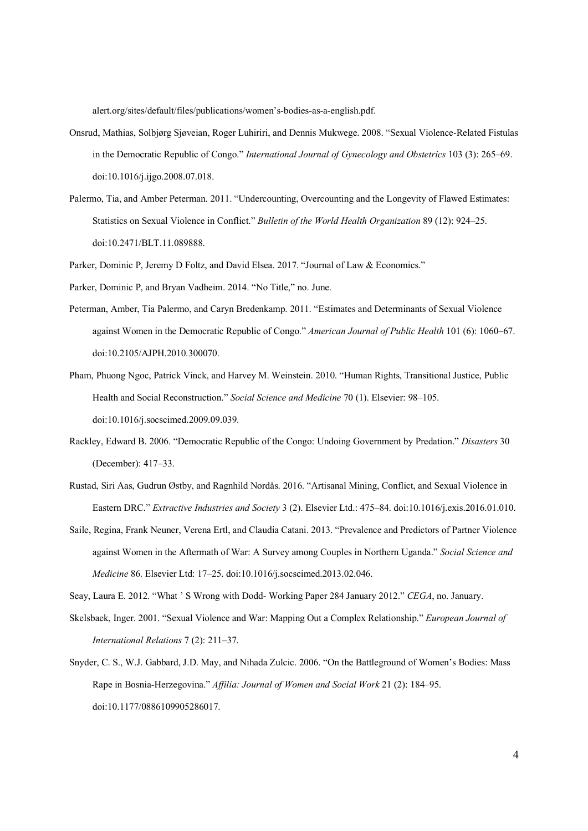alert.org/sites/default/files/publications/women's-bodies-as-a-english.pdf.

- Onsrud, Mathias, Solbjørg Sjøveian, Roger Luhiriri, and Dennis Mukwege. 2008. "Sexual Violence-Related Fistulas in the Democratic Republic of Congo." *International Journal of Gynecology and Obstetrics* 103 (3): 265–69. doi:10.1016/j.ijgo.2008.07.018.
- Palermo, Tia, and Amber Peterman. 2011. "Undercounting, Overcounting and the Longevity of Flawed Estimates: Statistics on Sexual Violence in Conflict." *Bulletin of the World Health Organization* 89 (12): 924–25. doi:10.2471/BLT.11.089888.

Parker, Dominic P, Jeremy D Foltz, and David Elsea. 2017. "Journal of Law & Economics."

Parker, Dominic P, and Bryan Vadheim. 2014. "No Title," no. June.

- Peterman, Amber, Tia Palermo, and Caryn Bredenkamp. 2011. "Estimates and Determinants of Sexual Violence against Women in the Democratic Republic of Congo." *American Journal of Public Health* 101 (6): 1060–67. doi:10.2105/AJPH.2010.300070.
- Pham, Phuong Ngoc, Patrick Vinck, and Harvey M. Weinstein. 2010. "Human Rights, Transitional Justice, Public Health and Social Reconstruction." *Social Science and Medicine* 70 (1). Elsevier: 98–105. doi:10.1016/j.socscimed.2009.09.039.
- Rackley, Edward B. 2006. "Democratic Republic of the Congo: Undoing Government by Predation." *Disasters* 30 (December): 417–33.
- Rustad, Siri Aas, Gudrun Østby, and Ragnhild Nordås. 2016. "Artisanal Mining, Conflict, and Sexual Violence in Eastern DRC." *Extractive Industries and Society* 3 (2). Elsevier Ltd.: 475–84. doi:10.1016/j.exis.2016.01.010.
- Saile, Regina, Frank Neuner, Verena Ertl, and Claudia Catani. 2013. "Prevalence and Predictors of Partner Violence against Women in the Aftermath of War: A Survey among Couples in Northern Uganda." *Social Science and Medicine* 86. Elsevier Ltd: 17–25. doi:10.1016/j.socscimed.2013.02.046.

Seay, Laura E. 2012. "What ' S Wrong with Dodd- Working Paper 284 January 2012." *CEGA*, no. January.

- Skelsbaek, Inger. 2001. "Sexual Violence and War: Mapping Out a Complex Relationship." *European Journal of International Relations* 7 (2): 211–37.
- Snyder, C. S., W.J. Gabbard, J.D. May, and Nihada Zulcic. 2006. "On the Battleground of Women's Bodies: Mass Rape in Bosnia-Herzegovina." *Affilia: Journal of Women and Social Work* 21 (2): 184–95. doi:10.1177/0886109905286017.